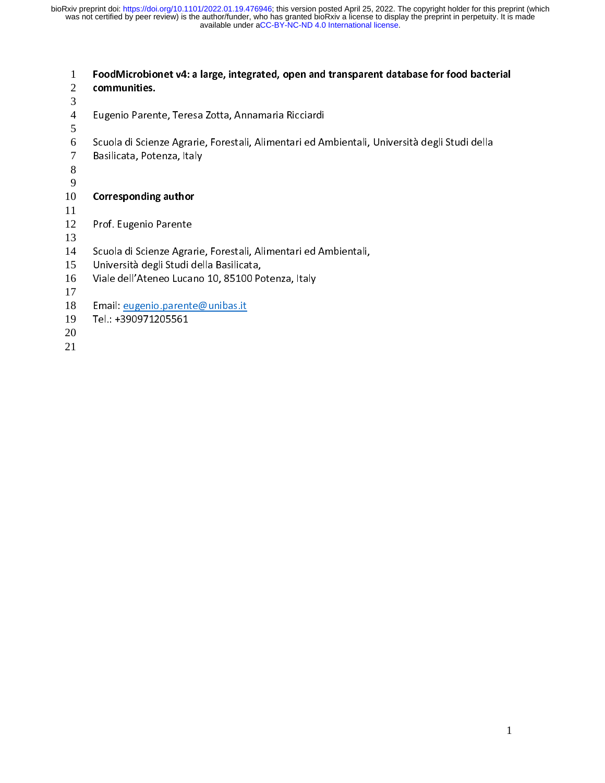1 FoodMicrobionet v4: a large, integrated, open and transparent database for food bacterial<br>2 communities. communities. Eugenio Parente, Teresa Zotta, Annamaria Ricciardi<br>Scuola di Scienze Agrarie, Forestali, Alimentari ed Ambientali, Università degli Studi della<br>Basilicata, Potenza, Italy Schwarie, Forenza, Italy<br>Scienze Agrarie, Forestali, Alimentari ed Americani, Alimentari ed Americani, Università della Studi della Studi della Studi della Studi della Studi della Studi della Studi della Studi della Studi **Corresponding author**<br>Prof. Eugenio Parente 10 **Corresponding author**<br>
11<br>
12 Prof. Eugenio Parente<br>
13<br>
14 Scuola di Scienze Agrar<br>
15 Università degli Studi d ی<br>Scuola di Scienze Agra<br>Università degli Studi d<br>Viale dell'Ateneo Luca Scholars Polaticus, Forestali, Ambrestali, Alimentari ed Ambientali,<br>Università degli Studi della Basilicata,<br>Viale dell'Ateneo Lucano 10, 85100 Potenza, Italy<br>Email: <u>eugenio parente@unibas.it</u><br>Tel.: +390971205561 Viale dell'Ateneo Lucano 10, 85100 Po<br>Email: <u>eugenio parente@unibas.it</u><br>Tel.: +390971205561 Email: eugenio.parente@unibas.it<br>Tel.: +390971205561 Tel.:  $+390971205561$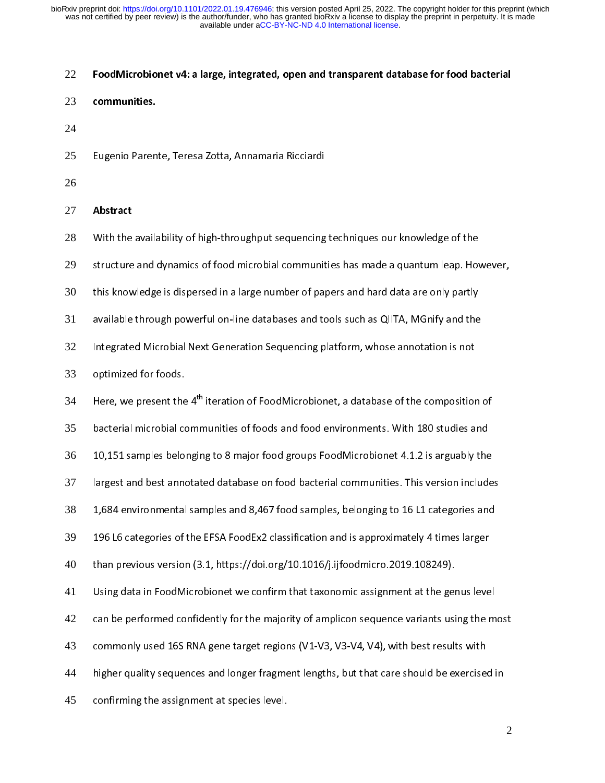### 22 FoodMicrobionet v4: a large, integrated, open and transparent database for food bacterial

- 23 communities.
- 24
- 25
- 26
- Eugenio Parente, Teresa Zotta, Annamaria Ricciardi

27 **Abstract**<br>28 With the<br>29 structure 28

With the availability of high-throughput sequencing techniques our knowledge of the<br>structure and dynamics of food microbial communities has made a quantum leap. However,<br>this knowledge is dispersed in a large number of pa 29

30

structure and hard community.<br>It is knowledge is dispersed in a large number of papers and hard data are only partly<br>Available through powerful on-line databases and tools such as QIITA, MGnify and the this knowledge is dispersed in a large number of papers and hard data are only partly<br>available through powerful on-line databases and tools such as QIITA, MGnify and the<br>Integrated Microbial Next Generation Sequencing pla 31

Integrated Microbial Next Generation Sequencing platform, whose annotation is not<br>optimized for foods. 32

33

Integrate Microbial Article<br>Integrated Microbial Next Generation September<br>Interation of FoodMicrobionet, a database of the composition<br>Intera<sub>tion</sub> of FoodMicrobionet, a database of the composition r<br>Here, we present the<br>bacterial microbial co

35 bacterial microbial communities of foods and food environments. With 180 studies and<br>10,151 samples belonging to 8 major food groups FoodMicrobionet 4.1.2 is arguably the

Here, we present the 4<sup>th</sup> iteration of FoodMicrobionet, a database of the composition of<br>bacterial microbial communities of foods and food environments. With 180 studies and<br>10,151 samples belonging to 8 major food groups 36

largest and best annotated database on food bacterial communities. This version includes<br>1,684 environmental samples and 8,467 food samples, belonging to 16 L1 categories and 37

largest and best annotated database on food bacterial communities. This version includes<br>1,684 environmental samples and 8,467 food samples, belonging to 16 L1 categories and<br>196 L6 categories of the EFSA FoodEx2 classific 38

196 L6 categories of the EFSA FoodEx2 classification and is approximately 4 times larger<br>196 L6 categories of the EFSA FoodEx2 classification and is approximately 4 times larger<br>196 L6 categories of the EFSA FoodEx2 classi 39

than previous version (3.1, https://doi.org/10.1016/j.ijfoodmicro.2019.108249).<br>Using data in FoodMicrobionet we confirm that taxonomic assignment at the genus level 40

than previous version (3.1, 1999).<br>Using data in FoodMicrobionet we confirm that taxonomic assignment at the ger<br>can be performed confidently for the majority of amplicon sequence variants usi 41

42

Using data in Foodmicrobioners we communicated we congineed as the genus level<br>Can be performed confidently for the majority of amplicon sequence variants using the m<br>Commonly used 16S RNA gene target regions (V1-V3, V3-V4 commonly used 16S RNA gene target regions (V1-V3, V3-V4, V4), with best results with<br>higher quality sequences and longer fragment lengths, but that care should be exercise<br>confirming the assignment at species level. 43

higher quality sequences and longer fragment lengths, but that care should be exercised in 44

higher quality sequences and longer fragment lengths, but that care in that care should be<br>confirming the assignment at species level. 45 confirming the assignment at species level.<br>In the assignment at species level.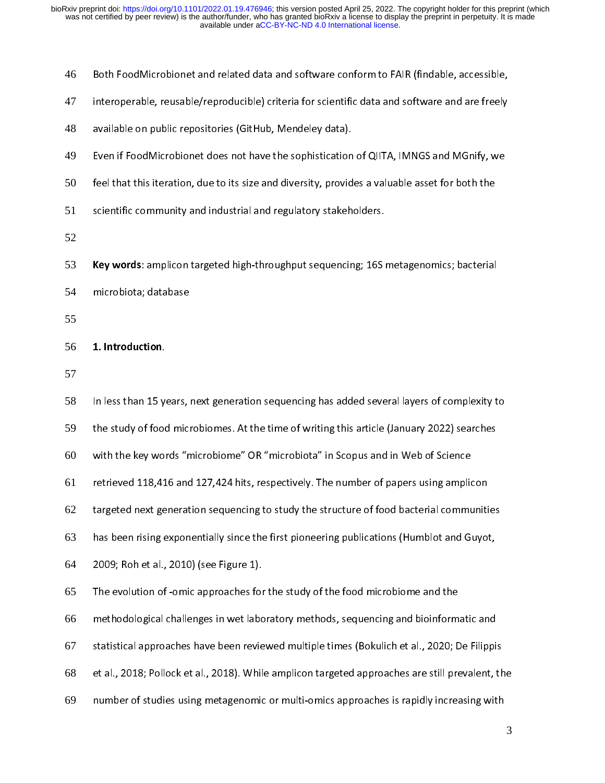46 Both FoodMicrobionet and related data and software conform to FAIR (findable, accessible,<br>interoperable, reusable/reproducible) criteria for scientific data and software and are freely<br>available on public repositories (Git

- 47
- 48
- inters persons, reusable, representing substitute of the final and some and are final in the freely<br>available on public repositories (GitHub, Mendeley data).<br>Even if FoodMicrobionet does not have the sophistication of QIIT available on public repositories (Github, Mendeley data).<br>Even if FoodMicrobionet does not have the sophistication<br>feel that this iteration, due to its size and diversity, provid 49
- feel that this iteration, due to its size and diversity, provides a valuable asset for both the<br>scientific community and industrial and regulatory stakeholders. 50
- $f(\mathbf{r})$  is scientific community and industrial and regulatory stakeholders. 51
- 52
- scientific community and industrial and industrial and the sequencing of the state of the state of the state of the state  $\frac{1}{2}$ **Key words**: amplicon targeted high-throughput sequencing; 16S metagenomics; bacterial<br>microbiota; database<br>55
- 54
- 55

# microbiot<sub>a</sub>; database<br>1. Introduction.

57

56 1. Introduction.<br>57<br>58 In less than 15 y<sub>'</sub> 58 In the study of food microbiomes. At the time of writing this article (January 2022) searches<br>with the key words "microbiome" OR "microbiota" in Scopus and in Web of Science 59 with the key words "microbiome" OR "microbiota" in Scopus and in Web of Science<br>retrieved 118,416 and 127,424 hits, respectively. The number of papers using amplicon 60 retrieved 118,416 and 127,424 hits, respectively. The number of papers using amplicon<br>targeted next generation sequencing to study the structure of food bacterial communities 61 rentrieved 119,414 and 118,414 hits, respectively. The number of papers using amplies in<br>targeted next generation sequencing to study the structure of food bacterial communiti<br>has been rising exponentially since the first 62 thas been rising exponentially since the first pioneering publications (Humblot and Guyot,<br>2009; Roh et al., 2010) (see Figure 1). 63 2009; Roh et al., 2010) (see Figure 1).<br>The evolution of -omic approaches for the study of the food microbiome and the 64 2009;<br>The evolution of -omic approaches for<br>methodological challenges in wet labo 65 The evolution of evolution of a ready of the food microbiomethodological challenges in wet laboratory methods, sequencing and bioinform<br>statistical approaches have been reviewed multiple times (Bokulich et al., 2020; D 66 statistical approaches have been reviewed multiple times (Bokulich et al., 2020; De Filippis<br>et al., 2018; Pollock et al., 2018). While amplicon targeted approaches are still prevalent, the 67 statistical approaches are still prevalent, the<br>have tal., 2018; Pollock et al., 2018). While amplicon targeted approaches are still prevalent, th<br>number of studies using metagenomic or multi-omics approaches is rapidly in 68 et al., 2019; Polen of al., 2019; Politics amplication targeted approaches is rapidly increasing with<br>number of studies using metagenomic or multi-omics approaches is rapidly increasing with<br>3 69 number of studies using metallicity increasing metallicity increasing with the studies of studies with the studies<br>The studies of the studies with the studies with the studies with the studies with the studies with the stu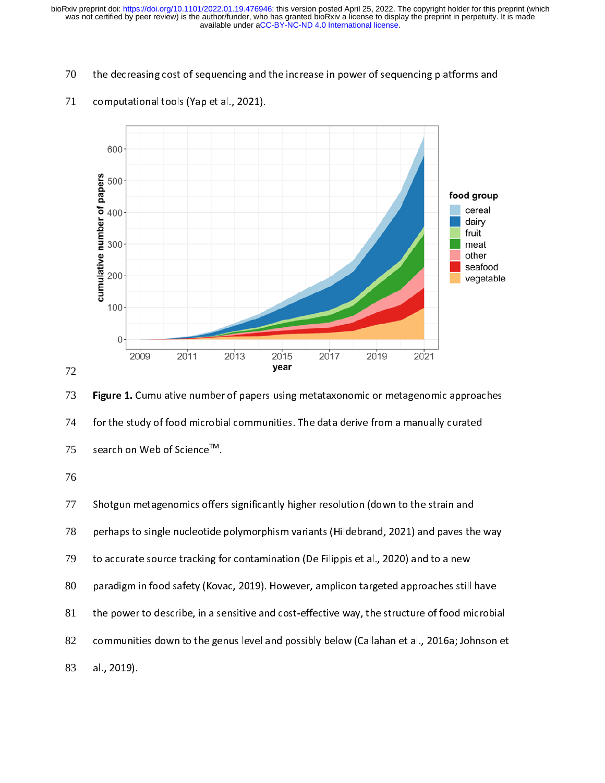70



### 71



74

76

al., 2019).

Figure 1. Cumulative number of papers using metataxonomic or metagenomic approaches<br>for the study of food microbial communities. The data derive from a manually curated<br>search on Web of Science<sup>TM</sup>.<br>76<br>Shotgun metagenomics for the study of Science<sup>TM</sup>.<br>Shotgun metagenomics offers significantly higher resolution (down to the strain and<br>perhaps to single nucleotide polymorphism variants (Hildebrand, 2021) and paves the<br>to accurate source track search on Web of Science<sup>1M</sup>.<br>
76<br>
77 Shotgun metagenomics offer<br>
perhaps to single nucleotide<br>
79 to accurate source tracking for<br>
80 paradigm in food safety (Kov;<br>
81 the power to describe, in a se<br>
82 communities down t 77 berhaps to single nucleotide polymorphism variants (Hildebrand, 2021) and paves th<br>to accurate source tracking for contamination (De Filippis et al., 2020) and to a new<br>paradigm in food safety (Kovac, 2019). However, ampli 78 perhaps to single nucleotide polymorphism variants (Michaelin), 2022) and to a new<br>paradigm in food safety (Kovac, 2019). However, amplicon targeted approaches still have<br>the power to describe, in a sensitive and cost-effe 79 paradigm in food safety (Kovac, 2019). However, amplicon targeted approaches still<br>the power to describe, in a sensitive and cost-effective way, the structure of food m<br>communities down to the genus level and possibly belo 80 parameter and the power to describe, in a sensitive and cost-effective way, the structure of food microbia<br>communities down to the genus level and possibly below (Callahan et al., 2016a; Johnson<br>al., 2019). 81 the power to describe and possibly below (Callahan et al., 2016a; Johnson et<br>al., 2019).<br>Al., 2019). 82 communities down to the genus level and possible, callahan et al., 2019, Johnson et al., 2019.<br>al., 2019. 83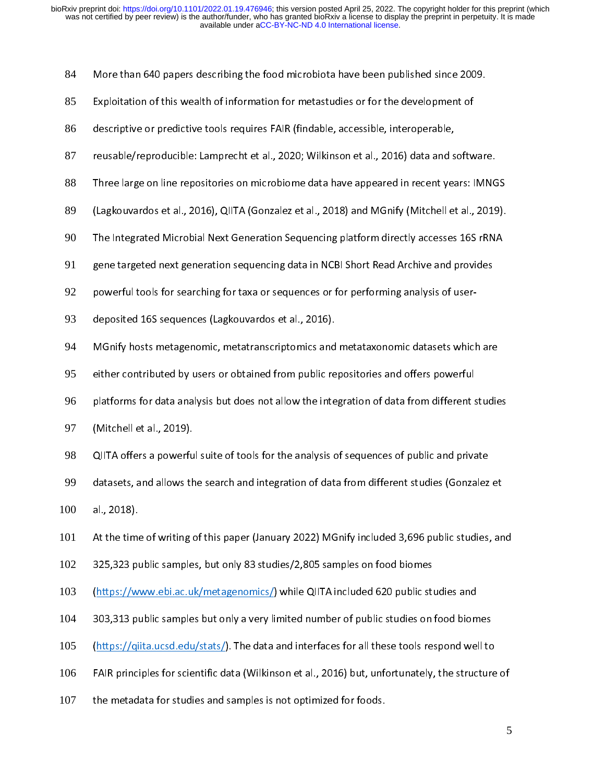| 84  | More than 640 papers describing the food microbiota have been published since 2009.               |
|-----|---------------------------------------------------------------------------------------------------|
| 85  | Exploitation of this wealth of information for metastudies or for the development of              |
| 86  | descriptive or predictive tools requires FAIR (findable, accessible, interoperable,               |
| 87  | reusable/reproducible: Lamprecht et al., 2020; Wilkinson et al., 2016) data and software.         |
| 88  | Three large on line repositories on microbiome data have appeared in recent years: IMNGS          |
| 89  | (Lagkouvardos et al., 2016), QIITA (Gonzalez et al., 2018) and MGnify (Mitchell et al., 2019).    |
| 90  | The Integrated Microbial Next Generation Sequencing platform directly accesses 16S rRNA           |
| 91  | gene targeted next generation sequencing data in NCBI Short Read Archive and provides             |
| 92  | powerful tools for searching for taxa or sequences or for performing analysis of user-            |
| 93  | deposited 16S sequences (Lagkouvardos et al., 2016).                                              |
| 94  | MGnify hosts metagenomic, metatranscriptomics and metataxonomic datasets which are                |
| 95  | either contributed by users or obtained from public repositories and offers powerful              |
| 96  | platforms for data analysis but does not allow the integration of data from different studies     |
| 97  | (Mitchell et al., 2019).                                                                          |
| 98  | QIITA offers a powerful suite of tools for the analysis of sequences of public and private        |
| 99  | datasets, and allows the search and integration of data from different studies (Gonzalez et       |
| 100 | al., 2018).                                                                                       |
| 101 | At the time of writing of this paper (January 2022) MGnify included 3,696 public studies, and     |
| 102 | 325,323 public samples, but only 83 studies/2,805 samples on food biomes                          |
| 103 | (https://www.ebi.ac.uk/metagenomics/) while QIITA included 620 public studies and                 |
| 104 | 303,313 public samples but only a very limited number of public studies on food biomes            |
| 105 | (https://giita.ucsd.edu/stats/). The data and interfaces for all these tools respond well to      |
| 106 | FAIR principles for scientific data (Wilkinson et al., 2016) but, unfortunately, the structure of |
| 107 | the metadata for studies and samples is not optimized for foods.                                  |
|     | 5                                                                                                 |
|     |                                                                                                   |

the metadata for studies and samples is not optimized for foods.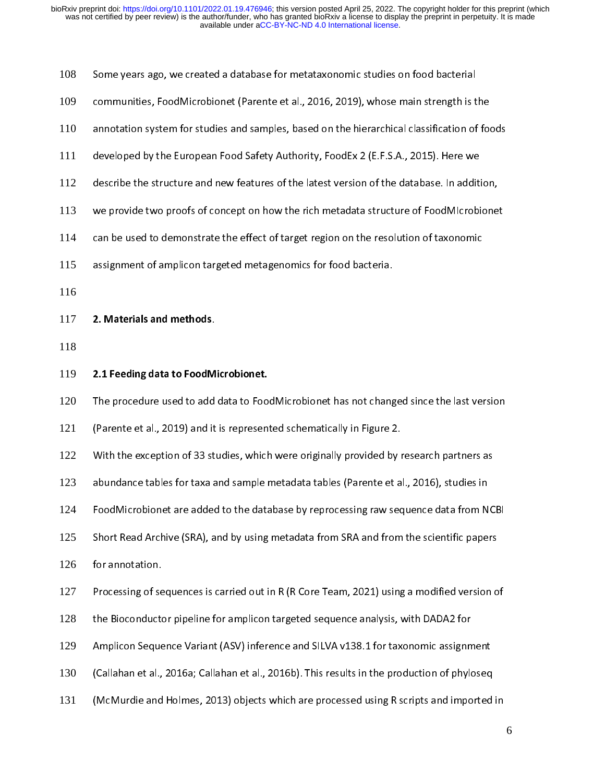| 108 | Some years ago, we created a database for metataxonomic studies on food bacterial            |   |
|-----|----------------------------------------------------------------------------------------------|---|
| 109 | communities, FoodMicrobionet (Parente et al., 2016, 2019), whose main strength is the        |   |
| 110 | annotation system for studies and samples, based on the hierarchical classification of foods |   |
| 111 | developed by the European Food Safety Authority, FoodEx 2 (E.F.S.A., 2015). Here we          |   |
| 112 | describe the structure and new features of the latest version of the database. In addition,  |   |
| 113 | we provide two proofs of concept on how the rich metadata structure of FoodMIcrobionet       |   |
| 114 | can be used to demonstrate the effect of target region on the resolution of taxonomic        |   |
| 115 | assignment of amplicon targeted metagenomics for food bacteria.                              |   |
| 116 |                                                                                              |   |
| 117 | 2. Materials and methods.                                                                    |   |
| 118 |                                                                                              |   |
| 119 | 2.1 Feeding data to FoodMicrobionet.                                                         |   |
| 120 | The procedure used to add data to FoodMicrobionet has not changed since the last version     |   |
| 121 | (Parente et al., 2019) and it is represented schematically in Figure 2.                      |   |
| 122 | With the exception of 33 studies, which were originally provided by research partners as     |   |
| 123 | abundance tables for taxa and sample metadata tables (Parente et al., 2016), studies in      |   |
| 124 | FoodMicrobionet are added to the database by reprocessing raw sequence data from NCBI        |   |
| 125 | Short Read Archive (SRA), and by using metadata from SRA and from the scientific papers      |   |
| 126 | for annotation.                                                                              |   |
| 127 | Processing of sequences is carried out in R (R Core Team, 2021) using a modified version of  |   |
| 128 | the Bioconductor pipeline for amplicon targeted sequence analysis, with DADA2 for            |   |
| 129 | Amplicon Sequence Variant (ASV) inference and SILVA v138.1 for taxonomic assignment          |   |
| 130 | (Callahan et al., 2016a; Callahan et al., 2016b). This results in the production of phyloseq |   |
| 131 | (McMurdie and Holmes, 2013) objects which are processed using R scripts and imported in      |   |
|     |                                                                                              | 6 |
|     |                                                                                              |   |
|     |                                                                                              |   |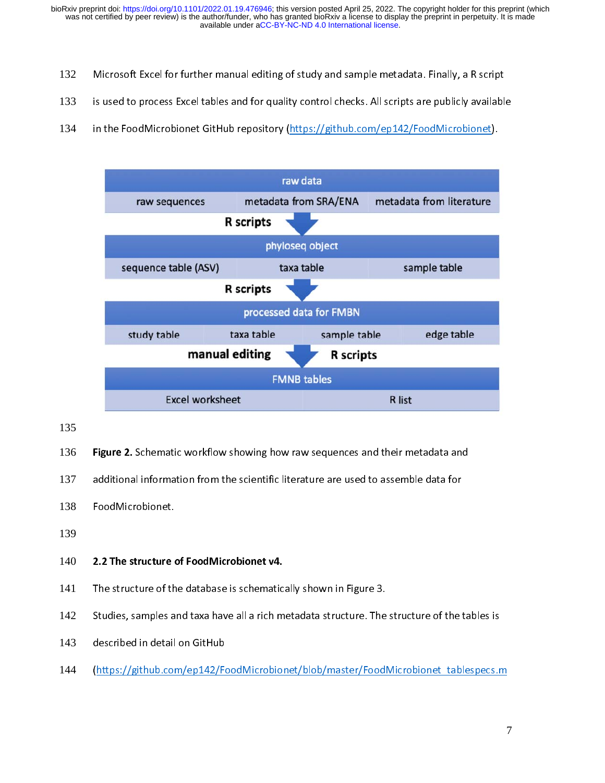- 132
- is used to process Excel tables and for quality control checks. All scripts are publicly available<br>in the FoodMicrobionet GitHub repository (https://github.com/ep142/FoodMicrobionet). 133
- 134



135

**Figure 2.** Schematic workflow showing how raw sequences and their metadata and<br>137 additional information from the scientific literature are used to assemble data for<br>138 FoodMicrobionet.

137  $\mathsf{FoodMicrobionet}.$ 

- 138
- 139

## 2.2 The structure o 140 2.2 The structure of FoodMicrobionet v4.

- 141
- The structure of the database is schematically shown in Figure 3.<br>Studies, samples and taxa have all a rich metadata structure. The structure of the tables is<br>described in detail on GitHub 142
- 143
- Stance, samples and taxa have all a rich metadata structure. The structure of the taxa for<br>described in detail on GitHub<br>(https://github.com/ep142/FoodMicrobionet/blob/master/FoodMicrobionet\_tablespecs.r https://github.com/ep142/Fo<br>|<br>| 144 (https://github.com/ep142/FoodMicrobionet/blob/master/FoodMicrobionet\_tablespecs.m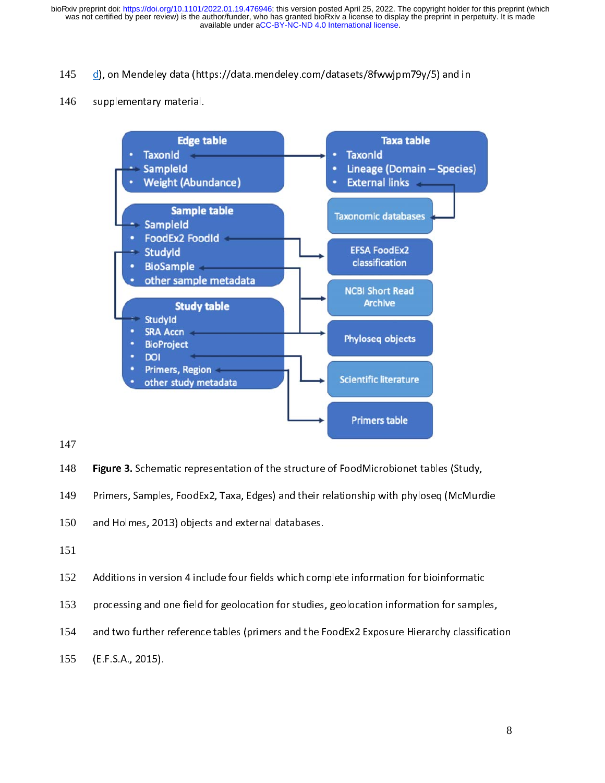### 145

### 146



147

148 Figure 3. Schematic representation of the structure of FoodMicrobionet tables (Study,<br>149 Primers, Samples, FoodEx2, Taxa, Edges) and their relationship with phyloseq (McMurdie<br>150 and Holmes, 2013) objects and externa 149

Primers, Primers, Primers, Primers, Primers, 2013) objects and external databases. 150

- 151
- Additions in version 4 include four fields which complete information for bioinformatic 152
- 153
- processing and one field for geolocation for studies, geolocation information for samples,<br>and two further reference tables (primers and the FoodEx2 Exposure Hierarchy classificati<br>(E.F.S.A., 2015). and two further reference tables (primers and the FoodEx2 Exposure Hierarchy classification 154  $\tt (E.F.S.A., 2015).\n$
- 155  $(\mathbb{R}^n, \mathbb{R}^n)$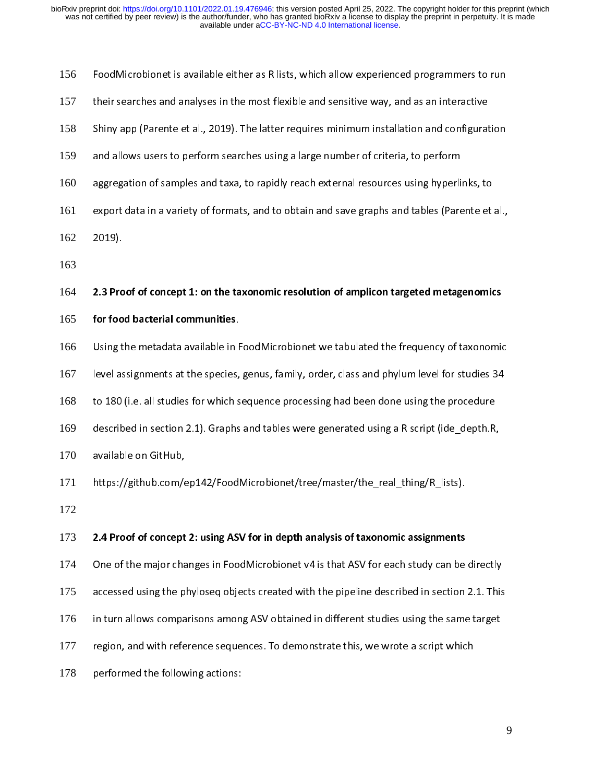| 156 | FoodMicrobionet is available either as R lists, which allow experienced programmers to run     |
|-----|------------------------------------------------------------------------------------------------|
| 157 | their searches and analyses in the most flexible and sensitive way, and as an interactive      |
| 158 | Shiny app (Parente et al., 2019). The latter requires minimum installation and configuration   |
| 159 | and allows users to perform searches using a large number of criteria, to perform              |
| 160 | aggregation of samples and taxa, to rapidly reach external resources using hyperlinks, to      |
| 161 | export data in a variety of formats, and to obtain and save graphs and tables (Parente et al., |
| 162 | $2019$ ).                                                                                      |
| 163 |                                                                                                |
| 164 | 2.3 Proof of concept 1: on the taxonomic resolution of amplicon targeted metagenomics          |
| 165 | for food bacterial communities.                                                                |
| 166 | Using the metadata available in FoodMicrobionet we tabulated the frequency of taxonomic        |
| 167 | level assignments at the species, genus, family, order, class and phylum level for studies 34  |
| 168 | to 180 (i.e. all studies for which sequence processing had been done using the procedure       |
| 169 | described in section 2.1). Graphs and tables were generated using a R script (ide depth.R,     |
| 170 | available on GitHub,                                                                           |
| 171 | https://github.com/ep142/FoodMicrobionet/tree/master/the_real_thing/R_lists).                  |
| 172 |                                                                                                |
| 173 | 2.4 Proof of concept 2: using ASV for in depth analysis of taxonomic assignments               |
| 174 | One of the major changes in FoodMicrobionet v4 is that ASV for each study can be directly      |
| 175 | accessed using the phyloseq objects created with the pipeline described in section 2.1. This   |
| 176 | in turn allows comparisons among ASV obtained in different studies using the same target       |
| 177 | region, and with reference sequences. To demonstrate this, we wrote a script which             |
| 178 | performed the following actions:                                                               |
|     |                                                                                                |
|     |                                                                                                |

performed the following actions:<br>:<br>: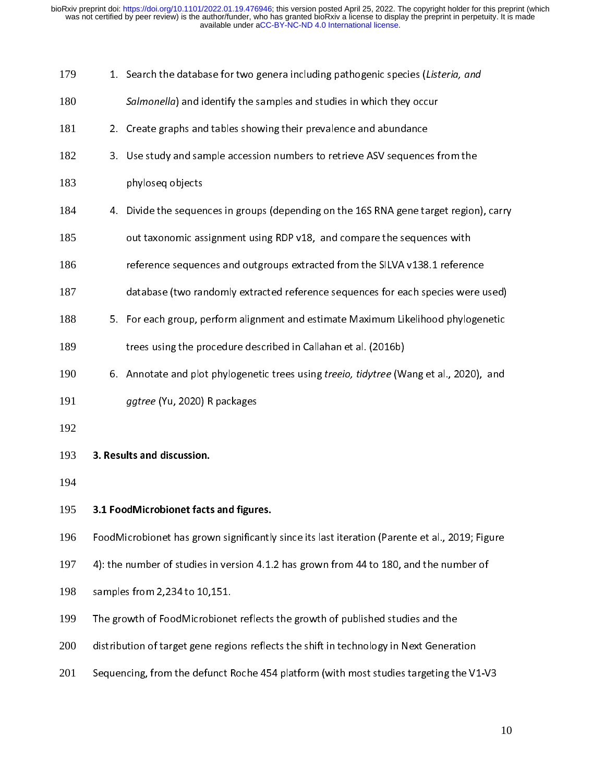| 179 | 1. Search the database for two genera including pathogenic species (Listeria, and              |
|-----|------------------------------------------------------------------------------------------------|
| 180 | Salmonella) and identify the samples and studies in which they occur                           |
| 181 | 2. Create graphs and tables showing their prevalence and abundance                             |
| 182 | 3. Use study and sample accession numbers to retrieve ASV sequences from the                   |
| 183 | phyloseq objects                                                                               |
| 184 | 4. Divide the sequences in groups (depending on the 16S RNA gene target region), carry         |
| 185 | out taxonomic assignment using RDP v18, and compare the sequences with                         |
| 186 | reference sequences and outgroups extracted from the SILVA v138.1 reference                    |
| 187 | database (two randomly extracted reference sequences for each species were used)               |
| 188 | 5. For each group, perform alignment and estimate Maximum Likelihood phylogenetic              |
| 189 | trees using the procedure described in Callahan et al. (2016b)                                 |
| 190 | 6. Annotate and plot phylogenetic trees using <i>treeio, tidytree</i> (Wang et al., 2020), and |
| 191 | ggtree (Yu, 2020) R packages                                                                   |
| 192 |                                                                                                |
| 193 | 3. Results and discussion.                                                                     |
| 194 |                                                                                                |
| 195 | 3.1 FoodMicrobionet facts and figures.                                                         |
| 196 | FoodMicrobionet has grown significantly since its last iteration (Parente et al., 2019; Figure |
| 197 | 4): the number of studies in version 4.1.2 has grown from 44 to 180, and the number of         |
| 198 | samples from 2,234 to 10,151.                                                                  |
| 199 | The growth of FoodMicrobionet reflects the growth of published studies and the                 |
| 200 | distribution of target gene regions reflects the shift in technology in Next Generation        |
| 201 | Sequencing, from the defunct Roche 454 platform (with most studies targeting the V1-V3         |
|     |                                                                                                |

distribution of targeting, from the defunct Roche 454 platform (with most studies targeting the V1<br>Sequencing, from the defunct Roche 454 platform (with most studies targeting the V1 201 Sequencing, from the defunct Roche 454 platform (with most studies targeting the V1-V3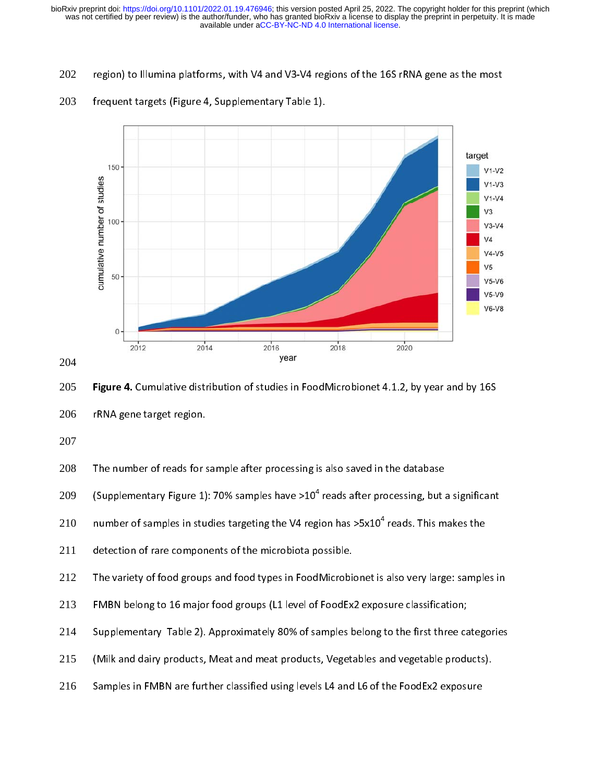202



### 203



Figure 4. Cumulative distribution of studies in FoodMicrobionet 4.1.2, by year and by 16S<br>206 FRNA gene target region.<br>207<br>208 The number of reads for sample after processing is also saved in the database<br>320 (Supplementar 206

207

The number of reads for s<br>(Supplementary Figure 1)<br>number of samples in stu<br>detection of rare compon<br>The variety of food group<br>FMBN belong to 16 major<br>Supplementary Table 2).<br>(Milk and dairy products,<br>Samples in FMBN are f 208

```
(Supplementary Figure 1): 70% samples have >10^4 reads after processing, but a<br>number of samples in studies targeting the V4 region has >5x10^4 reads. This m<br>detection of rare components of the microbiota possible.<br>Th
```
211

(Supplementary Figure 1): 70% samples have >10<sup>4</sup> reads after processing, but a significant<br>
210 number of samples in studies targeting the V4 region has >5x10<sup>4</sup> reads. This makes the<br>
detection of rare components of the 210 number of samples in studies targeting the V4 region has >5x10" reads. This makes the<br>211 detection of rare components of the microbiota possible.<br>212 The variety of food groups and food types in FoodMicrobionet is als The variety of food groups and food types in FoodMicrobion<br>FMBN belong to 16 major food groups (L1 level of FoodEx<br>Supplementary Table 2). Approximately 80% of samples b<br>(Milk and dairy products, Meat and meat products, Ve 212

213

TMBN belong to 16 major food groups (L1 level of FoodEx2 exposure classification;<br>Supplementary Table 2). Approximately 80% of samples belong to the first three categories<br>(Milk and dairy products, Meat and meat products, Supplementary Table 2). Approximately 80% of samples belong to the first three ca<br>(Milk and dairy products, Meat and meat products, Vegetables and vegetable products)<br>Samples in FMBN are further classified using levels L4 214

- (Milk and dairy products, Meat and meat products, Vegetables and vegetable products).<br>Samples in FMBN are further classified using levels L4 and L6 of the FoodEx2 exposure 215
- Samples in FMBN are further classified using levels L4 and L6 of the FoodEx2 exposure 216 Samples in FMBN are further classified using levels L4 and L6 of the FoodEx2 exposure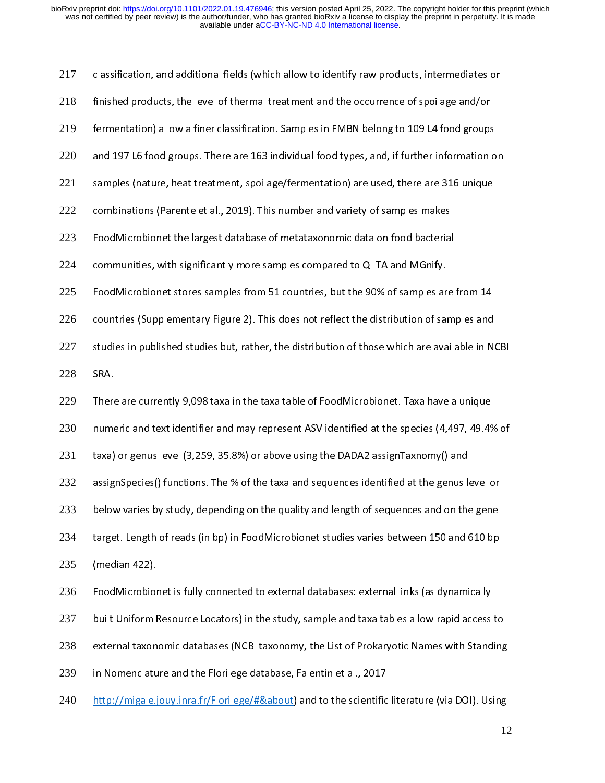| 217 | classification, and additional fields (which allow to identify raw products, intermediates or   |  |
|-----|-------------------------------------------------------------------------------------------------|--|
| 218 | finished products, the level of thermal treatment and the occurrence of spoilage and/or         |  |
| 219 | fermentation) allow a finer classification. Samples in FMBN belong to 109 L4 food groups        |  |
| 220 | and 197 L6 food groups. There are 163 individual food types, and, if further information on     |  |
| 221 | samples (nature, heat treatment, spoilage/fermentation) are used, there are 316 unique          |  |
| 222 | combinations (Parente et al., 2019). This number and variety of samples makes                   |  |
| 223 | FoodMicrobionet the largest database of metataxonomic data on food bacterial                    |  |
| 224 | communities, with significantly more samples compared to QIITA and MGnify.                      |  |
| 225 | FoodMicrobionet stores samples from 51 countries, but the 90% of samples are from 14            |  |
| 226 | countries (Supplementary Figure 2). This does not reflect the distribution of samples and       |  |
| 227 | studies in published studies but, rather, the distribution of those which are available in NCBI |  |
| 228 | SRA.                                                                                            |  |
| 229 | There are currently 9,098 taxa in the taxa table of FoodMicrobionet. Taxa have a unique         |  |
| 230 | numeric and text identifier and may represent ASV identified at the species (4,497, 49.4% of    |  |
| 231 | taxa) or genus level (3,259, 35.8%) or above using the DADA2 assignTaxnomy() and                |  |
| 232 | assignSpecies() functions. The % of the taxa and sequences identified at the genus level or     |  |
| 233 | below varies by study, depending on the quality and length of sequences and on the gene         |  |
| 234 | target. Length of reads (in bp) in FoodMicrobionet studies varies between 150 and 610 bp        |  |
| 235 | (median 422).                                                                                   |  |
| 236 | FoodMicrobionet is fully connected to external databases: external links (as dynamically        |  |
| 237 | built Uniform Resource Locators) in the study, sample and taxa tables allow rapid access to     |  |
| 238 | external taxonomic databases (NCBI taxonomy, the List of Prokaryotic Names with Standing        |  |
| 239 | in Nomenclature and the Florilege database, Falentin et al., 2017                               |  |
| 240 | http://migale.jouy.inra.fr/Florilege/#&about) and to the scientific literature (via DOI). Using |  |
|     | 12                                                                                              |  |
|     |                                                                                                 |  |

12  $\frac{1}{\sqrt{1-\frac{1}{\sqrt{1-\frac{1}{\sqrt{1-\frac{1}{\sqrt{1-\frac{1}{\sqrt{1-\frac{1}{\sqrt{1-\frac{1}{\sqrt{1-\frac{1}{\sqrt{1-\frac{1}{\sqrt{1-\frac{1}{\sqrt{1-\frac{1}{\sqrt{1-\frac{1}{\sqrt{1-\frac{1}{\sqrt{1-\frac{1}{\sqrt{1-\frac{1}{\sqrt{1-\frac{1}{\sqrt{1-\frac{1}{\sqrt{1-\frac{1}{\sqrt{1-\frac{1}{\sqrt{1-\frac{1}{\sqrt{1-\frac{1}{\sqrt{1-\frac{1}{\sqrt{1-\frac{1}{\sqrt{1-\frac{1}{\sqrt{1-\frac{1$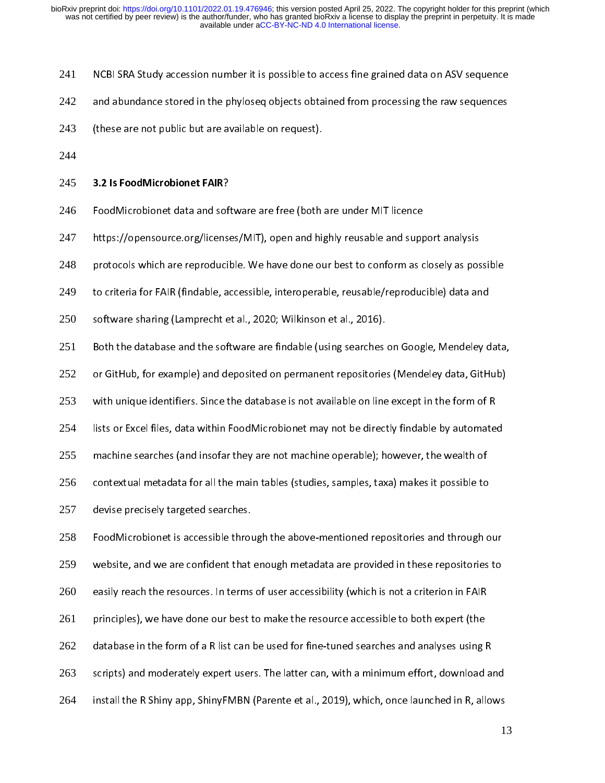- 241 NCBI SRA Study accession number it is possible to access fine grained data on ASV sequence<br>and abundance stored in the phyloseq objects obtained from processing the raw sequences<br>(these are not public but are available on
- 242
- and abundance stored in the phyloseq objects obtained from processing the range of public but are available on request). 243
- 244

# (these are not public but are available subsequest).<br>3.2 Is FoodMicrobionet FAIR?

- 245 3.2 Is FoodMicrobionet FAIR?<br>246 FoodMicrobionet data and soft<br>247 https://opensource.org/license 246
- FoodMicrobionet data and software are free (both are under MIT licence<br>https://opensource.org/licenses/MIT), open and highly reusable and support analysis 247
- protocols which are reproducible. We have done our best to conform as closely as possible 248
- to criteria for FAIR (findable, accessible, interoperable, reusable/reproducible) data and<br>software sharing (Lamprecht et al., 2020; Wilkinson et al., 2016). 249
- 250
- to criteria for FAIR (findable, accessible, interoperative, representing, and the<br>software sharing (Lamprecht et al., 2020; Wilkinson et al., 2016).<br>Both the database and the software are findable (using searches on Google softh the database and the software are findable (using searches<br>or GitHub, for example) and deposited on permanent repositorie 251
- or GitHub, for example) and deposited on permanent repositories (Mendeley data, GitHub)<br>with unique identifiers. Since the database is not available on line except in the form of R 252
- or Gith unique identifiers. Since the database is not available on line except in the form of R<br>lists or Excel files, data within FoodMicrobionet may not be directly findable by automated 253
- 254
- with and as the distinct of the database is not available some the point in the form of R<br>lists or Excel files, data within FoodMicrobionet may not be directly findable by automated<br>machine searches (and insofar they are n lists or Excel files, and insofar they are not machine operable); however, the wealth of<br>contextual metadata for all the main tables (studies, samples, taxa) makes it possible to 255
- machine searches (and insofar they are not machine operator); however, the wealth or<br>contextual metadata for all the main tables (studies, samples, taxa) makes it possible to<br>devise precisely targeted searches. 256
- 257

contentum metadata for all the main tables (studies, samples, taxa) makes it possible to<br>devise precisely targeted searches.<br>FoodMicrobionet is accessible through the above-mentioned repositories and through o FoodMicrobionet is accessible throu<br>website, and we are confident that 258 website, and we are confident that enough metadata are provided in these repositories to<br>easily reach the resources. In terms of user accessibility (which is not a criterion in FAIR 259 principles), we have done our best to make the resource accessible to both expert (the 260 easily reach the resources accessible to both expert (the principles), we have done our best to make the resource accessible to both expert (the database in the form of a R list can be used for fine-tuned searches and anal 261

- 262
- principles), we have the form of a R list can be used for fine-tuned searches and analyses using lead<br>scripts) and moderately expert users. The latter can, with a minimum effort, download datation) and moderately expert users. The latter can, with a minimum effort, download an<br>-<br>-<br>install the R Shiny app, ShinyFMBN (Parente et al., 2019), which, once launched in R, allo 263
- install the R Shiny app, ShinyFMBN (Parente et al., 2019), which, once launched in R, allows<br>1 264 install the R ShinyFMBN (Parente et al., 2019), which, one launched in R, allowski structure et al., 2019), which, one launched in R, allowski structure et al., 2019), which, one launched in R, allowski structure et al.,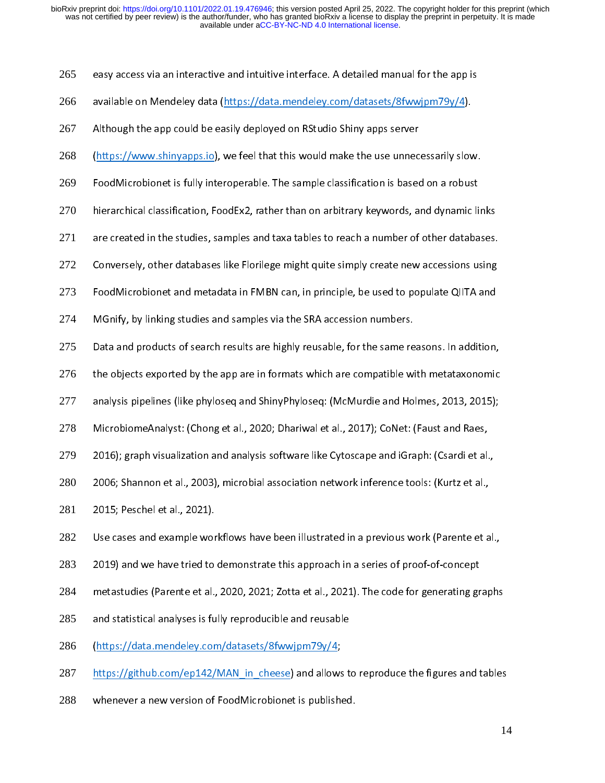- 265 easy access via an interactive and intuitive interface. A detailed manual for the app is<br>available on Mendeley data (https://data.mendeley.com/datasets/8fwwjpm79y/4).<br>Although the app could be easily deployed on RStudio Sh
- 266
- 267
- available on Mendeley and <u>(https://data.mendeley.com/data.org/mangeley.com/datable</u><br>Although the app could be easily deployed on RStudio Shiny apps server<br>(https://www.shinyapps.io), we feel that this would make the use u Although the app counted only deployed in Rothough the appeliation<br>(https://www.shinyapps.io), we feel that this would make the use unnec<br>FoodMicrobionet is fully interoperable. The sample classification is based 268
- 269
- (https://www.shipper.io), we feel that this would make the use unnecessarily slow.<br>FoodMicrobionet is fully interoperable. The sample classification is based on a robust<br>hierarchical classification, FoodEx2, rather than on hierarchical classification, FoodEx2, rather than on arbitrary keywords, and dynamic li<br>are created in the studies, samples and taxa tables to reach a number of other databa 270
- herarchical created in the studies, samples and taxa tables to reach a number of other databases.<br>Conversely, other databases like Florilege might quite simply create new accessions using 271
- 272
- conversely, other databases like Florilege might quite simply create new accessions using<br>FoodMicrobionet and metadata in FMBN can, in principle, be used to populate QIITA and FoodMicrobionet and metadata in FMBN can, in principle, be used to populate QIITA and<br>MGnify, by linking studies and samples via the SRA accession numbers. 273
- 274
- FoodMicrobionet and metadata in FMBN can, in principle, be used to populate QNIITA and<br>MGnify, by linking studies and samples via the SRA accession numbers.<br>Data and products of search results are highly reusable, for the Data and products of search results are highly reusable, for the same re<br>the objects exported by the app are in formats which are compatible w 275
- the objects exported by the app are in formats which are compatible with metataxonomic<br>analysis pipelines (like phyloseq and ShinyPhyloseq: (McMurdie and Holmes, 2013, 2015);<br>MicrobiomeAnalyst: (Chong et al., 2020; Dhariwa 276
- analysis pipelines (like phyloseq and ShinyPhyloseq: (McMurdie and Holmes, 2013, 2015); 277
- 278
- analysis pipelines (like phyloseq and shinyPhyloseq: (McMurdie and Holmes) 2029 J2029,<br>MicrobiomeAnalyst: (Chong et al., 2020; Dhariwal et al., 2017); CoNet: (Faust and Raes,<br>2016); graph visualization and analysis softwar Microbiomeanalyst: (Chong et al., 2027), Dhariwal et al., 2020; Denset and Raes,<br>2016); graph visualization and analysis software like Cytoscape and iGraph: (Csardi et al.,<br>2006; Shannon et al., 2003), microbial associatio 279
- 2006; Shannon et al., 2003), microbial association network inference tools: (Kurtz et al.,<br>2015; Peschel et al., 2021). 280
- 281
- 2015; Peschel et al., 2021).<br>2015; Peschel et al., 2021).<br>Use cases and example workflows have been illustrated in a previous work (Parente et a 2015; Peschel example work<br>2019) and we have tried to 282
- 283
- Use cases and enample weakened in an example workflows have previous trem (Parente et al.,<br>2019) and we have tried to demonstrate this approach in a series of proof-of-concept<br>metastudies (Parente et al., 2020, 2021; Zotta 2021) and tastudies (Parente et al., 2020, 2021; Zotta et al., 2021). The code for generating grand statistical analyses is fully reproducible and reusable 284
- metastudies (Parente et al., 2021). 2021, 2021; Zotta et al., 2021; Philosopherating graphs<br>and statistical analyses is fully reproducible and reusable<br>(https://data.mendeley.com/datasets/8fwwjpm79y/4; 285
- 286
- and statistical analyses is fully reproducible and reusable<br>(https://data.mendeley.com/datasets/8fwwjpm79y/4;<br>https://github.com/ep142/MAN\_in\_cheese) and allows to reproduce the figures and tables 287
- whenever a new version of FoodMicrobionet is published. https://gamman.com/eparay.com/enterty-september of reproduce the figures and tables<br>whenever a new version of FoodMicrobionet is published.<br>14 288 whenever a new version of FoodMicrobionet is published.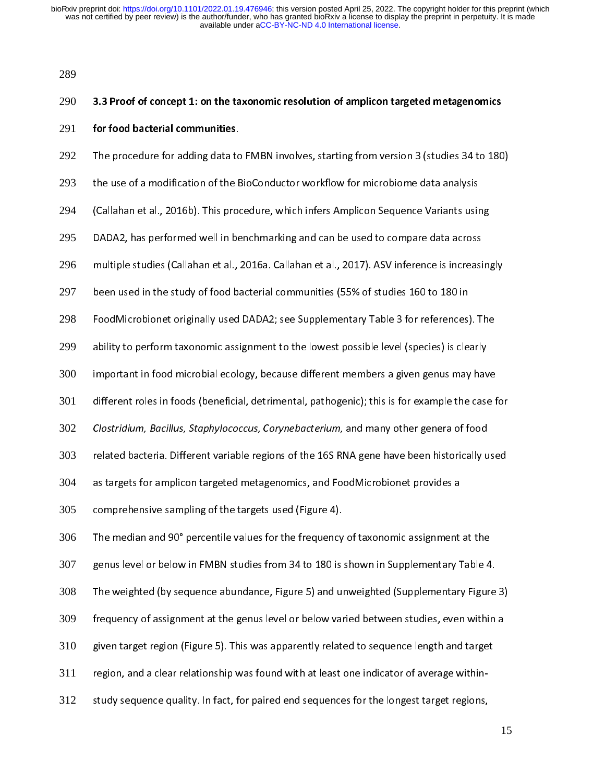289

### 290 3.3 Proof of concept 1: on the taxonomic resolution of amplicon targeted metagenomics 291 **for food bacterial communities.**<br>292 The procedure for adding data to<br>293 the use of a modification of the E 292 The use of a modification of the BioConductor workflow for microbiome data analysis<br>(Callahan et al., 2016b). This procedure, which infers Amplicon Sequence Variants using 293 ,<br>Callahan et al., 2016b). This procedure, which infers Amplicon Sequence Variants usir)<br>DADA2, has performed well in benchmarking and can be used to compare data across 294 (Callahan et al., 2016b). This pair of the DADA2, has performed well in benchmarking and can be used to compare data across<br>Multiple studies (Callahan et al., 2016a. Callahan et al., 2017). ASV inference is increasing<br>Mult 295 multiple studies (Callahan et al., 2016a. Callahan et al., 2017). ASV inference is increasi<br>been used in the study of food bacterial communities (55% of studies 160 to 180 in 296 been used in the study of food bacterial communities (55% of studies 160 to 180 in<br>FoodMicrobionet originally used DADA2; see Supplementary Table 3 for references). The 297 been used in the study of food bacterial communities (55% of studies 25% of set on<br>FoodMicrobionet originally used DADA2; see Supplementary Table 3 for references)<br>ability to perform taxonomic assignment to the lowest poss 298 ability to perform taxonomic assignment to the lowest possible level (species) is clearly<br>important in food microbial ecology, because different members a given genus may have 299 important in food microbial ecology, because different members a given genus may have 300 different roles in foods (beneficial, detrimental, pathogenic); this is for example the case for<br>Clostridium, Bacillus, Staphylococcus, Corynebacterium, and many other genera of food 301 different roles in foots in foots in foods (beneficial, pathodicial, pathogenic); this is for example the case<br>Clostridium, Bacillus, Staphylococcus, Corynebacterium, and many other genera of food<br>related bacteria. Differe 202 Clostridium, Bacillus, Staphylococcus, Corynebacterium, and many other genera of food<br>303 Frelated bacteria. Different variable regions of the 16S RNA gene have been historically u<br>304 Frances as targets for amplicon t 303 as targets for amplicon targeted metagenomics, and FoodMicrobionet provides a<br>comprehensive sampling of the targets used (Figure 4). 304 as targets for amplican targets intergenomics, and FoodMicrobionet products<br>comprehensive sampling of the targets used (Figure 4).<br>The median and 90° percentile values for the frequency of taxonomic assignment 305 The median and 90° percentile values for the frequency<br>genus level or below in FMBN studies from 34 to 180 is 306 genus level or below in FMBN studies from 34 to 180 is shown in Supplementary Table 4.<br>The weighted (by sequence abundance, Figure 5) and unweighted (Supplementary Figure 3) 307 genus<br>The weighted (by sequence abundance, Figure 5) and unweighted (Supplementary Figure<br>frequency of assignment at the genus level or below varied between studies, even within 308 The weighted (by sequence abundance) ingure 5) and univergined (supplementary Figure 3)<br>frequency of assignment at the genus level or below varied between studies, even within a<br>given target region (Figure 5). This was app 309 given target region (Figure 5). This was apparently related to sequence length and target<br>region, and a clear relationship was found with at least one indicator of average within-310 study sequence quality. In fact, for paired end sequences for the longest target regions, 311 312

study sequence quality. In fact, for paired end sequences for the longest target regions,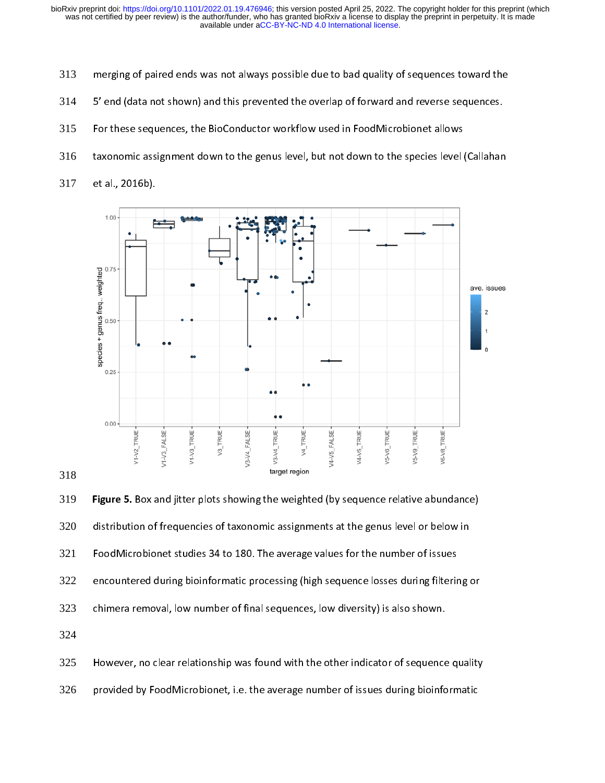- 313
- 314
- 315
- 316
- 317



Figure 5. Box and jitter plots showing the weighted (by sequence relative abundance)<br>distribution of frequencies of taxonomic assignments at the genus level or below in<br>FoodMicrobionet studies 34 to 180. The average values 320 FoodMicrobionet studies 34 to 180. The average values for the number of issues<br>encountered during bioinformatic processing (high sequence losses during filtering or<br>chimera removal, low number of final sequences, low diver 321 encountered during bioinformatic processing (high sequence losses during filterir<br>chimera removal, low number of final sequences, low diversity) is also shown.<br>However, no clear relationship was found with the other indica 322 entrumation analysis and thence of final sequences, low diversity) is also shown.<br>
However, no clear relationship was found with the other indicator of sequence quality<br>
provided by FoodMicrobionet, i.e. the average number 323

324

However, no clear relationship was found with the other indicator of sequence<br>provided by FoodMicrobionet, i.e. the average number of issues during bioinfo<br>the shown. 325 However, no clear relationship was found with the other indicator of a quality  $\frac{1}{2}$ <br>provided by FoodMicrobionet, i.e. the average number of issues during bioinformatic

326 provided by FoodMicrobionet, i.e. the average number of issues during biomatic issues during bioinformatic is<br>The average number of issues during bioinformatic intervals bioinformatic intervals bioinformatic intervals of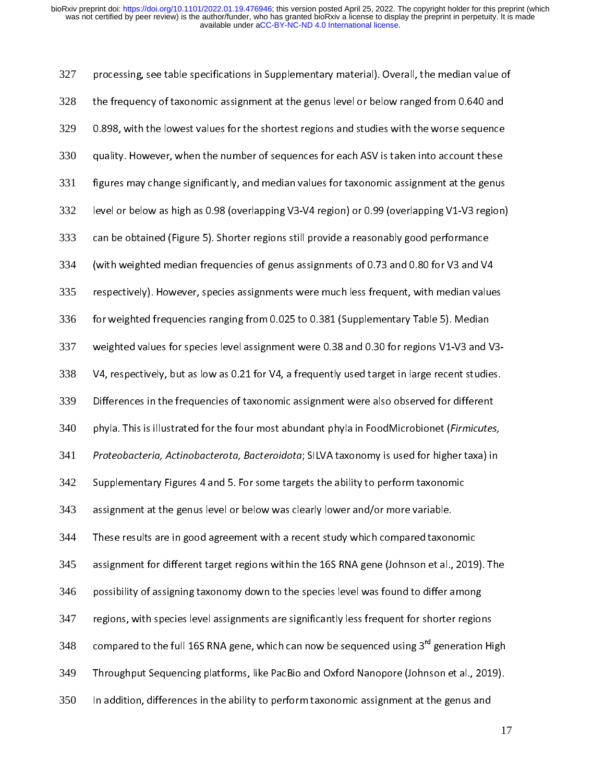327 processing, see the frequency of taxonomic assignment at the genus level or below ranged from 0.640 and<br>0.898, with the lowest values for the shortest regions and studies with the worse sequence 328 the frequency of taxonomic assignment at the genus level or below ranged from 20 and the<br>0.898, with the lowest values for the shortest regions and studies with the worse sequence<br>quality. However, when the number of seque 329 quality. However, when the number of sequences for each ASV is taken into account these<br>figures may change significantly, and median values for taxonomic assignment at the genus 330 dening. However, when the number of sequences for taxonomic assignment at the genus<br>figures may change significantly, and median values for taxonomic assignment at the genus<br>level or below as high as 0.98 (overlapping V3-V 331 figures may conside the significant of the significant level or below as high as 0.98 (overlapping V1-V3 region)<br>Figure significant values for the genus of the genus of the genus can be obtained (Figure 5). Shorter regions 332 can be obtained (Figure 5). Shorter regions still provide a reasonably good performance<br>(with weighted median frequencies of genus assignments of 0.73 and 0.80 for V3 and V4 333 with weighted median frequencies of genus assignments of 0.73 and 0.80 for V3 and V4)<br>respectively). However, species assignments were much less frequent, with median valu 334 respectively). However, species assignments were much less frequent, with median values<br>for weighted frequencies ranging from 0.025 to 0.381 (Supplementary Table 5). Median 335 respectively). However, species assignments were much less frequenty from measure much less for weighted frequencies ranging from 0.025 to 0.381 (Supplementary Table 5). Median weighted values for species level assignment 336 weighted values for species level assignment were 0.38 and 0.30 for regions V1-V3 and \<br>V4, respectively, but as low as 0.21 for V4, a frequently used target in large recent studie 337 V4, respectively, but as low as 0.21 for V4, a frequently used target in large recent studies.<br>Differences in the frequencies of taxonomic assignment were also observed for different 338 phyla. This is illustrated for the four most abundant phyla in FoodMicrobionet (Firmicutes, 339 Phyla. This is illustrated for the four most abundant phyla in FoodMicrobionet (*Firmicutes*<br>Proteobacteria, Actinobacterota, Bacteroidota; SILVA taxonomy is used for higher taxa) in 340 phyla. This is indstrated for the four most abundant phyla in FoodMicrobionet (F*irmicutes,*<br>Proteobacteria, Actinobacterota, Bacteroidota; SILVA taxonomy is used for higher taxa) in<br>Supplementary Figures 4 and 5. For some 341 Proteobacteria, Actinobacterota, Bacteroidota; SILVA taxonomy is used for higher taxa) in<br>342 Supplementary Figures 4 and 5. For some targets the ability to perform taxonomic<br>343 assignment at the genus level or below 342 Supprementary Figures 4 and 5.0 For some targets the ability to perform taxonomics<br>assignment at the genus level or below was clearly lower and/or more variable.<br>These results are in good agreement with a recent study whic 343 assignment for different arget regions with a recent study which compared taxon<br>assignment for different target regions within the 16S RNA gene (Johnson et al., 344 assignment for different target regions within the 16S RNA gene (Johnson et al., 2019). The<br>possibility of assigning taxonomy down to the species level was found to differ among 345 regions, with species level assignments are significantly less frequent for shorter regions 346 possibility of assigning taxonomy down to the species level was found to differentiating<br>regions, with species level assignments are significantly less frequent for shorter regior<br>compared to the full 16S RNA gene, which c 347 regions, which can now be sequenced using 3<sup>rd</sup> generation Hi<br>Throughput Sequencing platforms, like PacBio and Oxford Nanopore (Johnson et al., 2019 compared to the full 16S RNA gene, which can now be sequenced using 3<sup>rd</sup> generation High<br>349 Throughput Sequencing platforms, like PacBio and Oxford Nanopore (Johnson et al., 2019). 349 In addition, differences in the ability to perform taxonomic assignment at the genus and 350 In addition, differences in the ability to perform taxonomic assignment at the genus and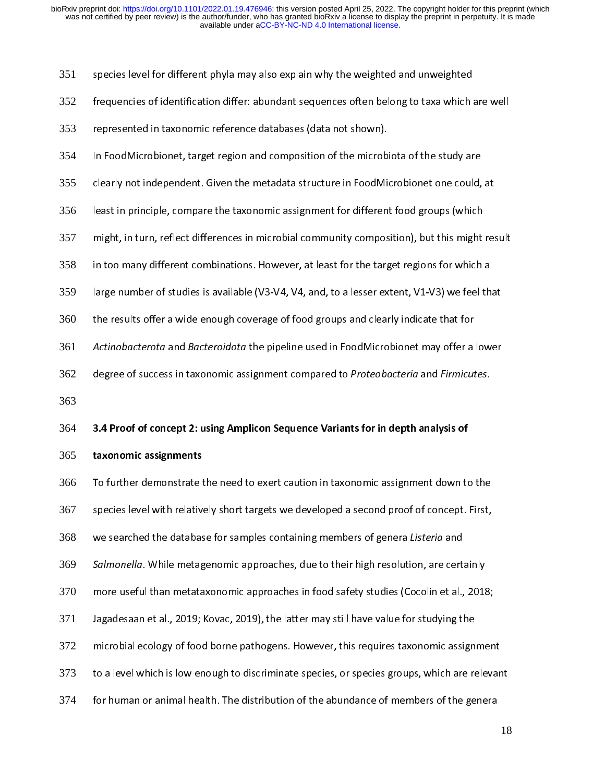351

- species level for different phyla may also explain why the weighted and unweighted<br>frequencies of identification differ: abundant sequences often belong to taxa which are well<br>represented in taxonomic reference databases ( 352
- 353
- In FoodMicrobionet, target region and composition of the microbiota of the study are represented in taxonomic reference databases (data in taxonomic).<br>In FoodMicrobionet, target region and composition of the microb<br>clearly not independent. Given the metadata structure in FoodMi 354
- 355
- In FoodMicrobionet, target region and composition of the microbionet one could,<br>Ieast in principle, compare the taxonomic assignment for different food groups (which least in principle, compare the taxonomic assignment for different food groups (which<br>might, in turn, reflect differences in microbial community composition), but this might result 356
- least in principle.<br>
In this might, in turn, reflect differences in microbial community composition), but this might<br>
in too many different combinations. However, at least for the target regions for which 357
- 358
- in too many different combinations. However, at least for the target regions for which a<br>large number of studies is available (V3-V4, V4, and, to a lesser extent, V1-V3) we feel that large number of studies is available (V3-V4, V4, and, to a lesser extent, V1-V3) we feel that<br>the results offer a wide enough coverage of food groups and clearly indicate that for 359
- 360
- large number of studies is available (V3-V4, 2004) to a lesser entert, V1-V4, N4-V2) while<br>the results offer a wide enough coverage of food groups and clearly indicate that for<br>Actinobacterota and Bacteroidota the pipeline and the pipeline used in FoodMicrobionet may offer a<br>degree of success in taxonomic assignment compared to *Proteobacteria* and Fir*micut*<br>degree of success in taxonomic assignment compared to *Proteobacteria* and Fir*micu* 361 Act*inobacterota* and *Bacteroidota* the pipeline used in FoodMicrobionet may offer a lower<br>362 degree of success in taxonomic assignment compared to *Proteobacteria* and Fir*micutes*.<br>363
- 362 degree of success in taxonomic assignment compared to *Proteobacteria* and Fir*micutes.*<br>3.4 Proof of concept 2: using Amplicon Sequence Variants for in depth analysis of<br>taxonomic assignments
- 363

## 364 3.4 Proof of concept 2: using Amplicon Sequence Variants for in depth analysis of<br>365 taxonomic assignments<br>366 To further demonstrate the need to exert caution in taxonomic assignment down to the

365 **taxonomic assignments**<br>366 To further demonstrate t<br>367 species level with relative 366 367

- species level with relatively short targets we developed a second proof of concept. First,<br>we searched the database for samples containing members of genera *Listeria* and 368
- species level the database for samples containing members of genera *Listeria* and<br>Salmonella. While metagenomic approaches, due to their high resolution, are certainly we searched the database for samples containing members of genera Listeria and<br>Salmonella. While metagenomic approaches, due to their high resolution, are cert<br>more useful than metataxonomic approaches in food safety studi
- Salmonella. While metagenomic approaches, due to their high resolution, are certainly<br>370 more useful than metataxonomic approaches in food safety studies (Cocolin et al., 2018;<br>371 Jagadesaan et al., 2019; Kovac, 2019), t 370
- 371
- more useful than metatamericans spproaches in footballer, studies (Cocomic Fair, 2019;<br>Jagadesaan et al., 2019; Kovac, 2019), the latter may still have value for studying the<br>microbial ecology of food borne pathogens. Howe microbial ecology of food borne pathogens. However, this requires taxonomic assign<br>to a level which is low enough to discriminate species, or species groups, which are re 372
- 373
- microbial experts. However, the state of the state of the seventh of the seventh of the seventh or animal health. The distribution of the abundance of members of the genera<br>for human or animal health. The distribution of t to a level which is low enough to discriminate species, or species groups, which are relevants<br>for human or animal health. The distribution of the abundance of members of the genera<br>18 374 for human or animal health. The distribution of the abundance of members of the genera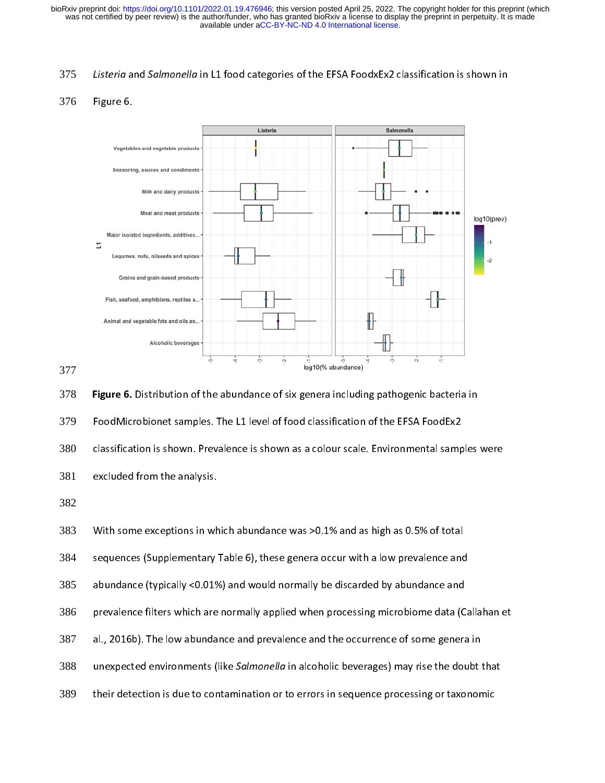### 376



### 377

379

Figure 6. Distribution of the abundance of six genera including pathogenic bacteria in<br>
FoodMicrobionet samples. The L1 level of food classification of the EFSA FoodEx2<br>
classification is shown. Prevalence is shown as a co Found the Line of the L1 of Cashmannian Collect Line Cashmannia Collection<br>Classification is shown. Prevalence is shown as a colour scale. Environmental samp<br>excluded from the analysis.<br>With some exceptions in which abunda 380

381

382

383

With some exceptions in wh<br>sequences (Supplementary<br>abundance (typically <0.019<br>prevalence filters which are<br>al., 2016b). The low abunda<br>unexpected environments (I<br>their detection is due to con sequences (Supplementary Table 6), these genera occur with a low prevalence and<br>abundance (typically <0.01%) and would normally be discarded by abundance and<br>prevalence filters which are normally applied when processing mi 384

385

excluded from the analysis.<br>With some exceptions in which abundance was >0.1% and as high as 0.5% of total<br>sequences (Supplementary Table 6), these genera occur with a low prevalence and<br>abundance (typically <0.01%) and wo sequence (typically <0.01%) and would normally be discarded by abundance and<br>prevalence filters which are normally applied when processing microbiome data (Ca<br>al., 2016b). The low abundance and prevalence and the occurrenc prevalence filters which are normally applied when processing microbiome data (C<br>al., 2016b). The low abundance and prevalence and the occurrence of some genera<br>unexpected environments (like *Salmonella* in alcoholic bever 386

- 387
- al., 2016b). The low abundance and prevalence and the occurrence of some genera in<br>unexpected environments (like *Salmonella* in alcoholic beverages) may rise the doubt that<br>their detection is due to contamination or to er al., 2016<br>
unexpected environments (like *Salmonella* in alcoholic beverages) may rise the doubt<br>
their detection is due to contamination or to errors in sequence processing or taxonon<br>
their detection is due to contaminat 388
- their detection is due to contamination or to errors in sequence processing or taxonomic<br>their detection is due to contamination or to errors in sequence processing or taxonomic 389 their detection is due to contamination or to errors in sequence processing or taxonomic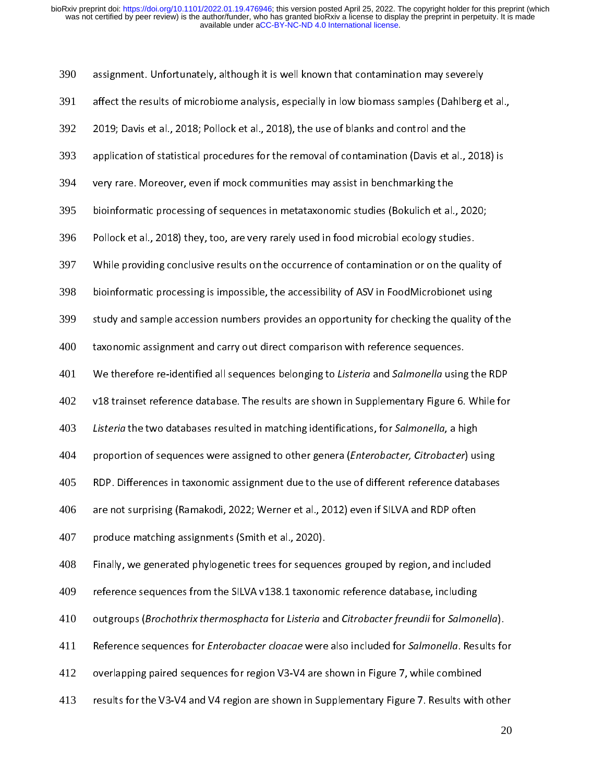| 390 | assignment. Unfortunately, although it is well known that contamination may severely                       |
|-----|------------------------------------------------------------------------------------------------------------|
| 391 | affect the results of microbiome analysis, especially in low biomass samples (Dahlberg et al.,             |
| 392 | 2019; Davis et al., 2018; Pollock et al., 2018), the use of blanks and control and the                     |
| 393 | application of statistical procedures for the removal of contamination (Davis et al., 2018) is             |
| 394 | very rare. Moreover, even if mock communities may assist in benchmarking the                               |
| 395 | bioinformatic processing of sequences in metataxonomic studies (Bokulich et al., 2020;                     |
| 396 | Pollock et al., 2018) they, too, are very rarely used in food microbial ecology studies.                   |
| 397 | While providing conclusive results on the occurrence of contamination or on the quality of                 |
| 398 | bioinformatic processing is impossible, the accessibility of ASV in FoodMicrobionet using                  |
| 399 | study and sample accession numbers provides an opportunity for checking the quality of the                 |
| 400 | taxonomic assignment and carry out direct comparison with reference sequences.                             |
| 401 | We therefore re-identified all sequences belonging to Listeria and Salmonella using the RDP                |
| 402 | v18 trainset reference database. The results are shown in Supplementary Figure 6. While for                |
| 403 | Listeria the two databases resulted in matching identifications, for Salmonella, a high                    |
| 404 | proportion of sequences were assigned to other genera (Enterobacter, Citrobacter) using                    |
| 405 | RDP. Differences in taxonomic assignment due to the use of different reference databases                   |
| 406 | are not surprising (Ramakodi, 2022; Werner et al., 2012) even if SILVA and RDP often                       |
| 407 | produce matching assignments (Smith et al., 2020).                                                         |
| 408 | Finally, we generated phylogenetic trees for sequences grouped by region, and included                     |
| 409 | reference sequences from the SILVA v138.1 taxonomic reference database, including                          |
| 410 | outgroups (Brochothrix thermosphacta for Listeria and Citrobacter freundii for Salmonella).                |
| 411 | Reference sequences for <i>Enterobacter cloacae</i> were also included for <i>Salmonella</i> . Results for |
| 412 | overlapping paired sequences for region V3-V4 are shown in Figure 7, while combined                        |
| 413 | results for the V3-V4 and V4 region are shown in Supplementary Figure 7. Results with other                |
|     | 20                                                                                                         |
|     |                                                                                                            |
|     |                                                                                                            |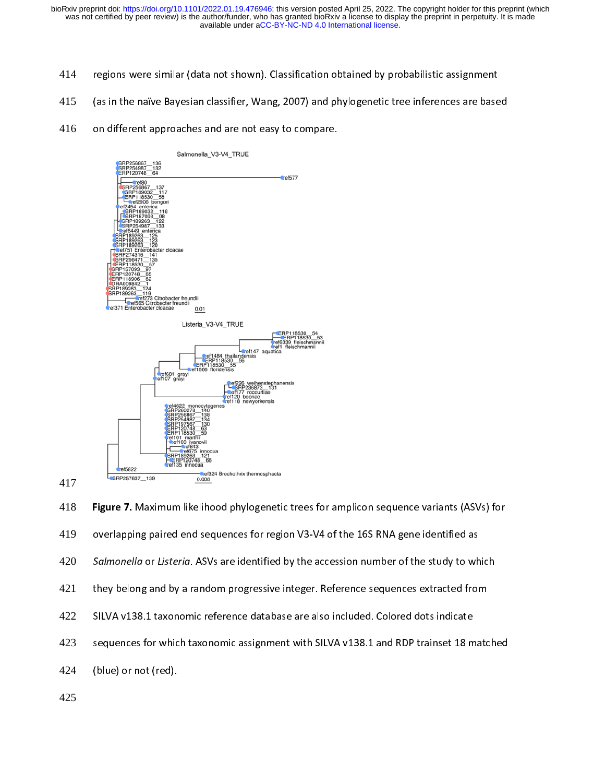- 414
- 415
- 416





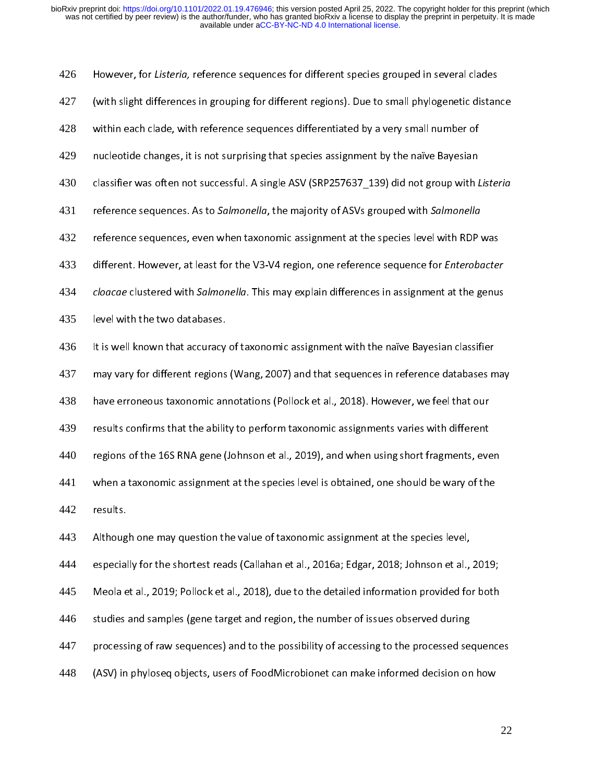| 428 | within each clade, with reference sequences differentiated by a very small number of          |  |  |
|-----|-----------------------------------------------------------------------------------------------|--|--|
| 429 | nucleotide changes, it is not surprising that species assignment by the naïve Bayesian        |  |  |
| 430 | classifier was often not successful. A single ASV (SRP257637 139) did not group with Listeria |  |  |
| 431 | reference sequences. As to Salmonella, the majority of ASVs grouped with Salmonella           |  |  |
| 432 | reference sequences, even when taxonomic assignment at the species level with RDP was         |  |  |
| 433 | different. However, at least for the V3-V4 region, one reference sequence for Enterobacter    |  |  |
| 434 | cloacae clustered with Salmonella. This may explain differences in assignment at the genus    |  |  |
| 435 | level with the two databases.                                                                 |  |  |
| 436 | It is well known that accuracy of taxonomic assignment with the naïve Bayesian classifier     |  |  |
| 437 | may vary for different regions (Wang, 2007) and that sequences in reference databases may     |  |  |
| 438 | have erroneous taxonomic annotations (Pollock et al., 2018). However, we feel that our        |  |  |
| 439 | results confirms that the ability to perform taxonomic assignments varies with different      |  |  |
| 440 | regions of the 16S RNA gene (Johnson et al., 2019), and when using short fragments, even      |  |  |
| 441 | when a taxonomic assignment at the species level is obtained, one should be wary of the       |  |  |
| 442 | results.                                                                                      |  |  |
| 443 | Although one may question the value of taxonomic assignment at the species level,             |  |  |
| 444 | especially for the shortest reads (Callahan et al., 2016a; Edgar, 2018; Johnson et al., 2019; |  |  |
| 445 | Meola et al., 2019; Pollock et al., 2018), due to the detailed information provided for both  |  |  |
| 446 | studies and samples (gene target and region, the number of issues observed during             |  |  |
| 447 | processing of raw sequences) and to the possibility of accessing to the processed sequences   |  |  |
| 448 | (ASV) in phyloseq objects, users of FoodMicrobionet can make informed decision on how         |  |  |
|     |                                                                                               |  |  |
|     | 22                                                                                            |  |  |
|     |                                                                                               |  |  |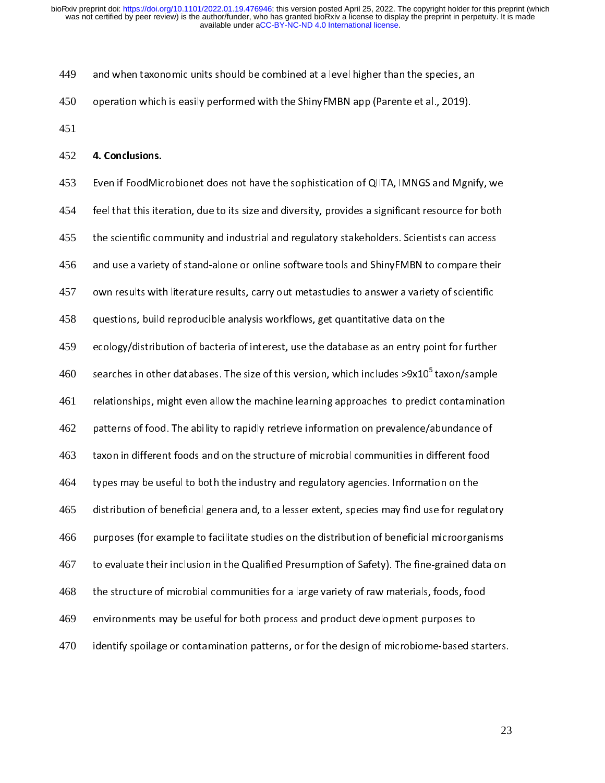449 and when taxonomic units should be combined at a level higher than the species, an<br>operation which is easily performed with the ShinyFMBN app (Parente et al., 2019). 450 operation which is easily performed with the ShinyFMBN app (Parente et al., 2019).<br>4. Conclusions. 451

### 452 4. Conclusions.

453 Even if FoodMicrobionet does not have the sophistication of QIITA, IMNGS and Mgnify, we<br>feel that this iteration, due to its size and diversity, provides a significant resource for both<br>the scientific community and industr 454 for the scientific community and industrial and regulatory stakeholders. Scientists can access<br>and use a variety of stand-alone or online software tools and ShinyFMBN to compare their 455 and use a variety of stand-alone or online software tools and ShinyFMBN to compare their<br>own results with literature results, carry out metastudies to answer a variety of scientific 456 own results with literature results, carry out metastudies to answer a variety of scientific<br>-<br>questions, build reproducible analysis workflows, get quantitative data on the 457 ecology/distribution of bacteria of interest, use the database as an entry point for further 458 ecology/distribution of bacteria of interest, use the database as an entry point<br>searches in other databases. The size of this version, which includes >9x10<sup>5</sup> tax 459 ecology/<br>searches in other databases. The size of this version, which includes >9x10<sup>5</sup> taxon/sample<br>relationships, might even allow the machine learning approaches to predict contaminatio searches in other databases. The size of this version, which includes >9x10<sup>3</sup> taxon/sample<br>461 relationships, might even allow the machine learning approaches to predict contaminatio<br>462 patterns of food. The a 461 relationships, might even allow the machine learning approaches to predict contamination<br>patterns of food. The ability to rapidly retrieve information on prevalence/abundance of 462 taxon in different foods and on the structure of microbial communities in different food<br>types may be useful to both the industry and regulatory agencies. Information on the 463 types may be useful to both the industry and regulatory agencies. Information on the distribution of beneficial genera and, to a lesser extent, species may find use for regulatory at the distribution of beneficial genera a 464 types may be useful to both the inductory and regulatory agencies may find use for regulation of beneficial genera and, to a lesser extent, species may find use for regulation of beneficial microorgan<br>purposes (for example 465 distribution of beneficial microorganisms<br>to evaluate their inclusion in the Qualified Presumption of Safety). The fine-grained data on<br>a lesser provided Presumption of Safety). The fine-grained data on 466 purposes (for example to facilitate studies on the distribution of safety). The fine-grained data on<br>the structure of microbial communities for a large variety of raw materials, foods, food 467 the structure of microbial communities for a large variety of raw materials, foods, food<br>environments may be useful for both process and product development purposes to 468 the structure of microbial communities for a large variety of the microbial computer  $\frac{1}{2}$ <br>environments may be useful for both process and product development purposes to<br>identify spoilage or contamination patterns, or 469 environmental formulation of the useful formulation patterns, or for the design of microbiome-based stochastic development purposes to the design of microbiome-based stochastic development purpose of the design of microbio 470 identify spoilage or contamination patterns, or for the design of microbiome-based starters.<br>.<br>.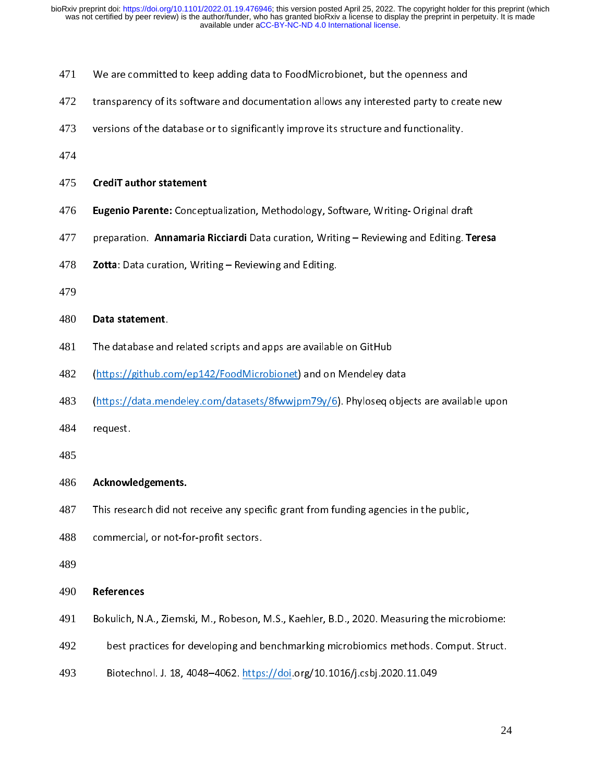| 471 | We are committed to keep adding data to FoodMicrobionet, but the openness and |  |  |  |
|-----|-------------------------------------------------------------------------------|--|--|--|
|-----|-------------------------------------------------------------------------------|--|--|--|

- transparency of its software and documentation allows any interested party to create new 472
- versions of the database or to significantly improve its structure and functionality. 473

474

- versions of the database or to significantly improve its structure and functionally.<br>CrediT author statement 475 CrediT author statement
- 
- **Eugenio Parente:** Conceptualization, Methodology, Software, Writing-Original draft<br>477 preparation. **Annamaria Ricciardi** Data curation, Writing Reviewing and Editing. Teresa<br>478 **Zotta**: Data curation, Writing Review 477
- preparation. Annamaria Ricciardi Data curation, Writing Reviewing and Editing. Teresa<br>Zotta: Data curation, Writing Reviewing and Editing. 278 **Zotta**: Data curation, Writing – Reviewing and Editing.<br>479<br>**Data statement**.
- 479

- 481
- 480 **Data statement**.<br>481 The database and<br>482 (https://github.co 482
- The database and related scripts and apps are available on GitHub<br>(https://github.com/ep142/FoodMicrobionet) and on Mendeley data<br>(https://data.mendeley.com/datasets/8fwwjpm79y/6). Phyloseq obje<br>request. (https://data.mendeley.com/datasets/8fwwjpm79y/6). Phyloseq objects are available upon 483  $($ https://datasets/8fww.phyloseq.com/datasets/8fww.phyloseq objects are available upon<br>request.
- 484
- 485

### Acknowledgements.

- 486 Acknowledgements.<br>487 This research did not<br>488 commercial, or not-fo 487
- $T$  and  $T$  is a commercial, or not-for-profit sectors. 488
- 489

## commercial, or not-for-profit sectors.<br>References 490 References

- 491 Bokulich, N.A., Ziemski, M., Robeson, M.S., Kaehler, B.D., 2020. Measuring the microbiome:
- 492
- Biotechnol. J. 18, 4048-4062. https://doi.org/10.1016/j.csbj.2020.11.049 493 Biotechnol. J. 18, 4048–4062. https://doi.org/10.1016/j.csbj.2020.11.049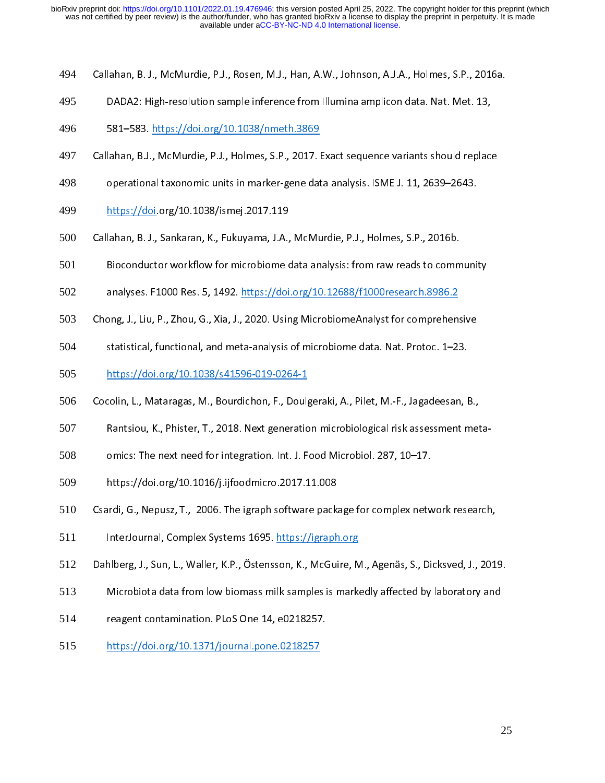- 494 Callahan, B. J., McMurdie, P.J., Rosen, M.J., Han, A.W., Johnson, A.J.A., Holmes, S.P., 2016a.<br>DADA2: High-resolution sample inference from Illumina amplicon data. Nat. Met. 13,<br>581–583. https://doi.org/10.1038/nmeth.3869
- 495
- 496
- 2012: High-resolution sample inference from Illumina amplication data. Nat. 2013<br>581–583. <u>https://doi.org/10.1038/nmeth.3869</u><br>lahan, B.J., McMurdie, P.J., Holmes, S.P., 2017. Exact sequence variants should replace 583. 1983. <u>Haper, Alemany, Sander, Mindonen, 201</u>7. l<br>lahan, B.J., McMurdie, P.J., Holmes, S.P., 2017. l<br>operational taxonomic units in marker-gene dat 497
- operational taxonomic units in marker-gene data analysis. ISME J. 11, 2639–2643.<br>https://doi.org/10.1038/ismej.2017.119 498
- 499
- Callahan, B. J., Sankaran, K., Fukuyama, J.A., McMurdie, P.J., Holmes, S.P., 2016b. https://doi.org/10.1038/indust.<br>|ahan, B. J., Sankaran, K., Fukuyama, J.A.,<br>Bioconductor workflow for microbiome o 500
- Callahan, Bioconductor workflow for microbiome data analysis: from raw reads to comm<br>analyses. F1000 Res. 5, 1492. https://doi.org/10.12688/f1000research.8986.2 501
- 502
- analyses. F1000 Res. 5, 1492. <u>https://doi.org/10.12688/f1000research.8986.2</u><br>Dng, J., Liu, P., Zhou, G., Xia, J., 2020. Using MicrobiomeAnalyst for comprehensive analyses. F2000 Res. 3, 2000. Heighter and Statistical Statistical, functional, and meta-analysis of microbiome data. Nat. Protoc. 1–23 503
- statistical, functional, and meta-analysis of microbiome data. Nat. Protoc. 1–23.<br>https://doi.org/10.1038/s41596-019-0264-1 504
- 505
- https://doi.org/10.1038/s41596-019-0264-1<br>colin, L., Mataragas, M., Bourdichon, F., Doulgeraki, A., Pilet, M.-F., Jagadeesan, E https://doi.org/10.1038/scolin, L., Mataragas, M., Bourdichon, F., Doulg<br>Rantsiou, K., Phister, T., 2018. Next generatio 506
- Rantsiou, K., Phister, T., 2018. Next generation microbiological risk assessment meta-<br>omics: The next need for integration. Int. J. Food Microbiol. 287, 10–17. 507
- 508
- 509
- https://doi.org/10.1016/j.ijfoodmicro.2017.11.008<br>Csardi, G., Nepusz, T., 2006. The igraph software package for complex network research, 510
- InterJournal, Complex Systems 1695. https://igraph.org 511
- Correction of the interlournal, Complex Systems 1695. <u>https://igraph.org</u><br>Dahlberg, J., Sun, L., Waller, K.P., Östensson, K., McGuire, M., Agenäs, S., Dicksved, J., 201 InterFermal, Complete Journal 2006. <u>Internal, American</u><br>Interg, J., Sun, L., Waller, K.P., Östensson, K., McGuire, N<br>Microbiota data from low biomass milk samples is mark 512
- Microbiota data from low biomass milk samples is markedly affected by laboratory and<br>reagent contamination. PLoS One 14, e0218257. 513
- Microbiota data from low biomass milk samples is milk say you below by laboratory and<br>reagent contamination. PLoS One 14, e0218257.<br>https://doi.org/10.1371/journal.pone.0218257 514
- https://doi.org/10.1371/journal.pone.0218257 515 https://doi.org/10.1371/journal.pone.021371/journal.pone.02182571/journal.pone.02182571/journal.pone.02182571<br>1971/journal.pone.02182571/journal.pone.02182571/journal.pone.021871/journal.pone.021871/journal.pone.021871/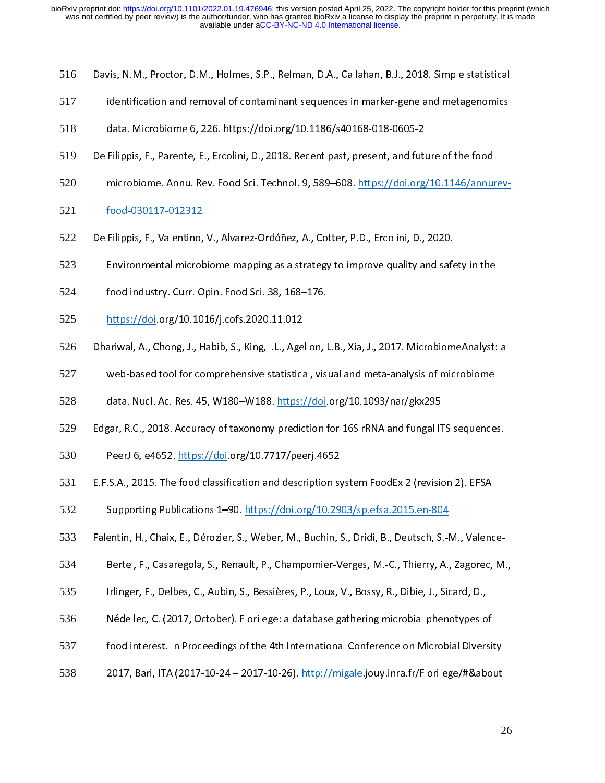- 516
- Davis, N.M., Proctor, D.M., Holmes, S.P., Relman, D.A., Callahan, B.J., 2018. Simple statistical<br>identification and removal of contaminant sequences in marker-gene and metagenomics<br>data. Microbiome 6, 226. https://doi.org/ 517
- 518
- data. Microbiome 6, 226. https://doi.org/10.1186/s40168-018-0605-2<br>Filippis, F., Parente, E., Ercolini, D., 2018. Recent past, present, and future of the food Filippis, F., Parente, E., Ercolini, D., 2018. Recent past, present, and futition<br>microbiome. Annu. Rev. Food Sci. Technol. 9, 589–608. https://doi.org 519
- microbiome. Annu. Rev. Food Sci. Technol. 9, 589–608. <u>https://doi.org/10.1146/annurev-</u><br>food-030117-012312 520
- 521
- Filippis, F., Valentino,<br>Environmental microk 522
- Environmental microbiome mapping as a strategy to improve quality and safe<br>food industry. Curr. Opin. Food Sci. 38, 168–176. 523
- Frigger mapping as a strategy of the strategy of the strategy of industry. Curr. Opin. Food Sci. 38, 168–176.<br>https://doi.org/10.1016/j.cofs.2020.11.012 524
- 525
- food industry. Curr. Curr. Curr. Curr. 2012<br>https://doi.org/10.1016/j.cofs.2020.11.012<br>ariwal, A., Chong, J., Habib, S., King, I.L., Agellon, I https://doi.org/10.1016/j.com<br>| ariwal, A., Chong, J., Habib, S., King, I.L., Age<br>| web-based tool for comprehensive statistica 526
- web-based tool for comprehensive statistical, visual and meta-analysis of microbiome<br>data. Nucl. Ac. Res. 45, W180–W188. https://doi.org/10.1093/nar/gkx295 527
- 528
- yedata. Nucl. Ac. Res. 45, W180–W188. <u>https://doi</u>.org/10.1093/nar/gkx295<br>gar, R.C., 2018. Accuracy of taxonomy prediction for 16S rRNA and fungal ITS sequence data. Nuclear Herecton, Nuclear <u>Herecton, Nuclear S</u>erver Production<br>gar, R.C., 2018. Accuracy of taxonomy prediction for 16S rRNA and fungal IT<br>PeerJ 6, e4652. <u>https://doi</u>.org/10.7717/peerj.4652 529
- 530
- Edgar, R.C., 2015. The food classification and description system FoodEx 2 (revision 2). EFSA<br>E.F.S.A., 2015. The food classification and description system FoodEx 2 (revision 2). EFSA Person, 2015. The food classification and description sy.<br>Supporting Publications 1–90. https://doi.org/10.29 531
- 532
- Supporting Publications 1–90. <u>https://doi.org/10.2903/sp.efsa.2015.en-804</u><br>Falentin, H., Chaix, E., Dérozier, S., Weber, M., Buchin, S., Dridi, B., Deutsch, S.-M., Valend Supporting Publications 1–90. https://doi.org/10.<br>Bertel, F., Casaregola, S., Renault, P., Champomier-Verges, M.-C., Thierry, A.,<br>Bertel, F., Casaregola, S., Renault, P., Champomier-Verges, M.-C., Thierry, A., 533
- 534
- 535
- Bertel, F., Carlinger, F., Delbes, C., Aubin, S., Bessières, P., Loux, V., Bossy, R., Dibie, J., Sicard, D.,<br>Nédellec, C. (2017, October). Florilege: a database gathering microbial phenotypes of Irlinger, F., Denbes, P., Linkin, S., Decembes, P., Denby, P., 2009, I., Dibin, D., 2., I., 2., 2., I., 2., 2.,<br>Nédellec, C. (2017, October). Florilege: a database gathering microbial phenotypes o<br>food interest. In Proceed 536
- food interest. In Proceedings of the 4th International Conference on Microbial Diversity 537
- 2017, Bari, ITA (2017-10-24 2017-10-26). http://migale.jouy.inra.fr/Florilege/#&about 538  $2$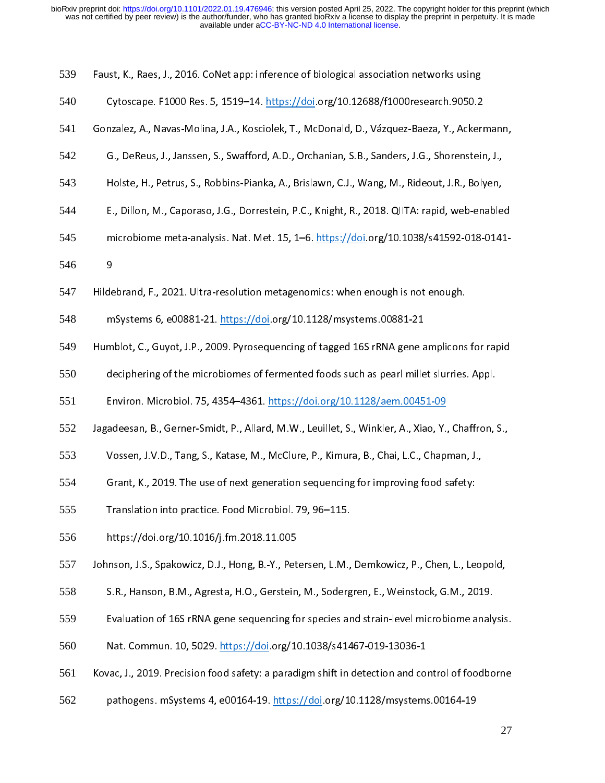| 539 | Faust, K., Raes, J., 2016. CoNet app: inference of biological association networks using           |  |
|-----|----------------------------------------------------------------------------------------------------|--|
| 540 | Cytoscape. F1000 Res. 5, 1519-14. https://doi.org/10.12688/f1000research.9050.2                    |  |
| 541 | Gonzalez, A., Navas-Molina, J.A., Kosciolek, T., McDonald, D., Vázquez-Baeza, Y., Ackermann,       |  |
| 542 | G., DeReus, J., Janssen, S., Swafford, A.D., Orchanian, S.B., Sanders, J.G., Shorenstein, J.,      |  |
| 543 | Holste, H., Petrus, S., Robbins-Pianka, A., Brislawn, C.J., Wang, M., Rideout, J.R., Bolyen,       |  |
| 544 | E., Dillon, M., Caporaso, J.G., Dorrestein, P.C., Knight, R., 2018. QIITA: rapid, web-enabled      |  |
| 545 | microbiome meta-analysis. Nat. Met. 15, 1-6. https://doi.org/10.1038/s41592-018-0141-              |  |
| 546 | 9                                                                                                  |  |
| 547 | Hildebrand, F., 2021. Ultra-resolution metagenomics: when enough is not enough.                    |  |
| 548 | mSystems 6, e00881-21. https://doi.org/10.1128/msystems.00881-21                                   |  |
| 549 | Humblot, C., Guyot, J.P., 2009. Pyrosequencing of tagged 16S rRNA gene amplicons for rapid         |  |
| 550 | deciphering of the microbiomes of fermented foods such as pearl millet slurries. Appl.             |  |
| 551 | Environ. Microbiol. 75, 4354-4361. https://doi.org/10.1128/aem.00451-09                            |  |
| 552 | Jagadeesan, B., Gerner-Smidt, P., Allard, M.W., Leuillet, S., Winkler, A., Xiao, Y., Chaffron, S., |  |
| 553 | Vossen, J.V.D., Tang, S., Katase, M., McClure, P., Kimura, B., Chai, L.C., Chapman, J.,            |  |
| 554 | Grant, K., 2019. The use of next generation sequencing for improving food safety:                  |  |
| 555 | Translation into practice. Food Microbiol. 79, 96-115.                                             |  |
| 556 | https://doi.org/10.1016/j.fm.2018.11.005                                                           |  |
| 557 | Johnson, J.S., Spakowicz, D.J., Hong, B.-Y., Petersen, L.M., Demkowicz, P., Chen, L., Leopold,     |  |
| 558 | S.R., Hanson, B.M., Agresta, H.O., Gerstein, M., Sodergren, E., Weinstock, G.M., 2019.             |  |
| 559 | Evaluation of 16S rRNA gene sequencing for species and strain-level microbiome analysis.           |  |
| 560 | Nat. Commun. 10, 5029. https://doi.org/10.1038/s41467-019-13036-1                                  |  |
| 561 | Kovac, J., 2019. Precision food safety: a paradigm shift in detection and control of foodborne     |  |
| 562 | pathogens. mSystems 4, e00164-19. https://doi.org/10.1128/msystems.00164-19                        |  |
|     | 27                                                                                                 |  |
|     |                                                                                                    |  |
|     |                                                                                                    |  |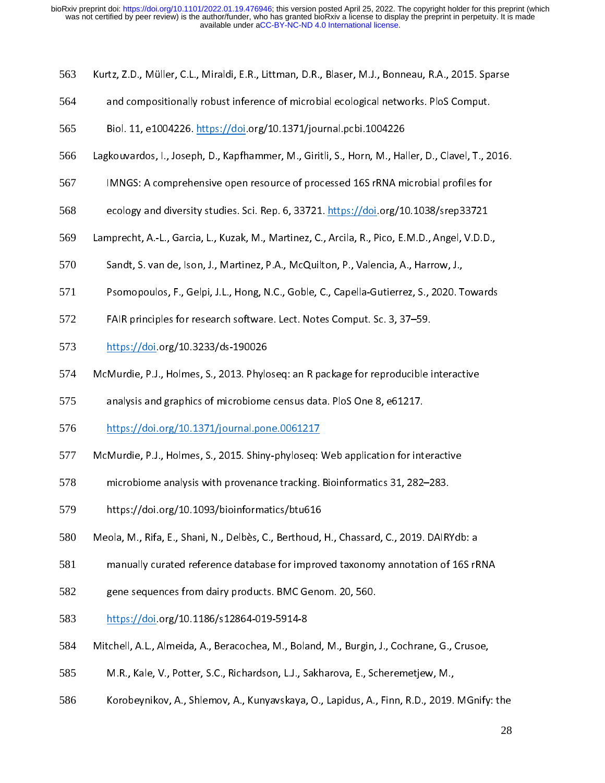- 563 Kurtz, Z.D., Müller, C.L., Miraldi, E.R., Littman, D.R., Blaser, M.J., Bonneau, R.A., 2015. Sparse<br>and compositionally robust inference of microbial ecological networks. PloS Comput.<br>Biol. 11, e1004226. https://doi.org/10.
- 564
- 565
- and compositionally robust inference of microbial ecological networks. Plonput<br>Biol. 11, e1004226. <u>https://doi</u>.org/10.1371/journal.pcbi.1004226<br>;kouvardos, I., Joseph, D., Kapfhammer, M., Giritli, S., Horn, M., Haller, D Biol. 11, e1004226. https://doi.org/10.1371/journal.pcbi.1004226 566
- IMNGS: A comprehensive open resource of processed 16S rRNA microbial profiles for<br>ecology and diversity studies. Sci. Rep. 6, 33721. https://doi.org/10.1038/srep33721 567
- 568
- Lamprecht, A.-L., Garcia, L., Kuzak, M., Martinez, C., Arcila, R., Pico, E.M.D., Angel, V.D.D., 569
- Sandt, S. van de, Ison, J., Martinez, P.A., McQuilton, P., Valencia, A., Harrow, J., 570
- Sandt, S. van de, Ison, J., Martinez, P.A., McQuilton, P., Valencia, A., Harrow, J.,<br>Psomopoulos, F., Gelpi, J.L., Hong, N.C., Goble, C., Capella-Gutierrez, S., 2020. Towards Sandt, Sandt, Sandt, Sandt, Sandt, Sandt, Sandt, Sandt, Sandt, Sandt, Sandt, S. van de, Isomopoulos, F., Gelpi, J.L., Hong, N.C., Goble, C., Capella-Gutierrez, S., 2020. T.<br>FAIR principles for research software. Lect. Note 571
- FAIR principles for research software. Lect. Notes Comput. Sc. 3, 37–59.<br>https://doi.org/10.3233/ds-190026 572
- 573
- Fair principles for research soft<br>https://doi.org/10.3233/ds-190026<br>Murdie, P.J., Holmes, S., 2013. Phyloseq: an R package for reproducible i Murdie, P.J., Holmes, S., 2013. Phylo<br>analysis and graphics of microbiome 574
- analysis and graphics of microbiome census data. PloS One 8, e61217.<br>https://doi.org/10.1371/journal.pone.0061217 575
- 576
- analysis and graphics of microbiome central and the state of prosess.<br>https://doi.org/10.1371/journal.pone.0061217<br>Murdie, P.J., Holmes, S., 2015. Shiny-phyloseq: Web application for int Murdie, P.J., Holmes, S., 2015. Shiny-phyloseq:<br>microbiome analysis with provenance tracking. 577
- microbiome analysis with provenance tracking. Bioinformatics 31, 282–283.<br>https://doi.org/10.1093/bioinformatics/btu616 578
- 579
- microbiome analysis with provenance tracking. Biometrication by BiD Linux<br>https://doi.org/10.1093/bioinformatics/btu616<br>ola, M., Rifa, E., Shani, N., Delbès, C., Berthoud, H., Chassard, C., 2019. DAIRY https://doi.org/10.1093/biola, M., Rifa, E., Shani, N., Delbès, C., Berthoud,<br>manually curated reference database for improv 580
- manually curated reference database for improved taxonomy annotation of 16S rRNA<br>gene sequences from dairy products. BMC Genom. 20, 560.<br>https://doi.org/10.1186/s12864-019-5914-8 581
- manually cures from dairy products. BMC Genom. 20, 560.<br>https://doi.org/10.1186/s12864-019-5914-8 582
- 583
- gene sequences from anny products. Barriers from 20, 561.<br>https://doi.org/10.1186/s12864-019-5914-8<br>tchell, A.L., Almeida, A., Beracochea, M., Boland, M., Burgin, 584
- https://doi.org/<br>| tchell, A.L., Almeida, A., Beracochea, M., Bola<br>| M.R., Kale, V., Potter, S.C., Richardson, L.J., Sa 585
- M.R., Kale, V., Potter, S.C., Richardson, L.J., Sakharova, E., Scheremetjew, M.,<br>Korobeynikov, A., Shlemov, A., Kunyavskaya, O., Lapidus, A., Finn, R.D., 2019. MGnify M.R., A.L., V., Potter, S.C., Richardson, L.J., Samuel P.J., Scheremetjer, M.,<br>Korobeynikov, A., Shlemov, A., Kunyavskaya, O., Lapidus, A., Finn, R.D., 2019.<br>. 586 Korobeynikov, A., Shlemov, A., Kunyavskaya, O., Lapidus, A., Finn, R.D., 2019. MGnify: the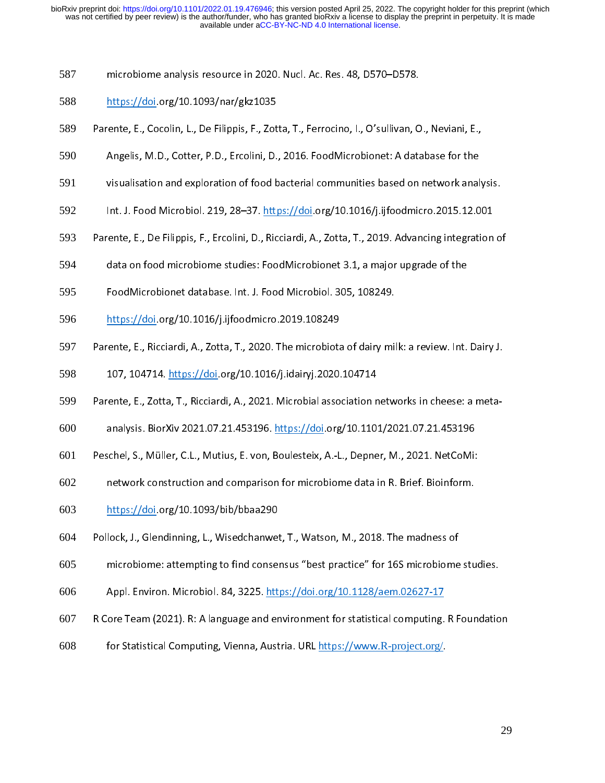- 587
- 588
- https://doi.org/10.1093/nar/gkz1035<br>:ente, E., Cocolin, L., De Filippis, F., Zotta, T., Ferrocino, I., O'sullivan, C 589
- https://doi.org/10.1093/narry.com/gkz2003<br>https://doi.org/10.1093/narry.com/2010<br>Angelis, M.D., Cotter, P.D., Ercolini, D. Parente, E., Cocolin, E., E., Cocolini, D., 2016. FoodMicrobionet: A database for the visualisation and exploration of food bacterial communities based on network analy 590
- 591
- Angelis, M.D., Cotter, P.D., 2016. A., 2016. For an interaction of statistic for the<br>Visualisation and exploration of food bacterial communities based on network anal<br>Int. J. Food Microbiol. 219, 28–37. https://doi.org/10. 592
- ر<br>Int. J. Food Microbiol. 219, 28–37. <u>https://doi</u>.org/10.1016/j.ijfoodmicro.2015.12.001<br>rente, E., De Filippis, F., Ercolini, D., Ricciardi, A., Zotta, T., 2019. Advancing integration o Internal Commission Commission<br>Internation. J. J. Food Microbiol. 2019. Advancing integration.<br>International data on food microbiome studies: FoodMicrobionet 3.1, a major upgrade of the 593
- data on food microbiome studies: FoodMicrobionet 3.1, a major upgrade of the 594
- FoodMicrobionet database. Int. J. Food Microbiol. 305, 108249.<br>https://doi.org/10.1016/j.ijfoodmicro.2019.108249 595
- 596
- https://doi.org/10.1016/j.ijfoodmicro.2019.108249.<br>Pente, E., Ricciardi, A., Zotta, T., 2020. The microbiota of dairy mil https://doi.org/10.1016/j.idairyj.2020.<br>107, 104714. <u>https://doi</u>.org/10.1016/j.idairyj.2020. 597
- 598
- Parente, E., Zotta, T., Ricciardi, A., 2021. Microbial association networks in cheese: a meta-<br>Parente, E., Zotta, T., Ricciardi, A., 2021. Microbial association networks in cheese: a meta-107, 104714. https://doi.org/10.1016/j.idairyj.2020.104714 599
- 600
- analysis. BiorXiv 2021.07.21.453196. https://doi.org/10.1101/2021.07.21.453196<br>Peschel, S., Müller, C.L., Mutius, E. von, Boulesteix, A.-L., Depner, M., 2021. NetCoMi:<br>network construction and comparison for microbiome dat 601
- network construction and comparison for microbiome data in R. Brief. Bioinform. 602
- 603
- Pollock, J., Glendinning, L., Wisedchanwet, T., Watson, M., 2018. The madness of 604
- https://doi.org/10.10<br>| lock, J., Glendinning, L., Wisedchanwer<br>| microbiome: attempting to find conser microbiome: attempting to find consensus "best practice" for 16S microbiome<br>Appl. Environ. Microbiol. 84, 3225. https://doi.org/10.1128/aem.02627-17 605
- 606
- Appl. Environ. Microbiol. 84, 3225. <u>https://doi.org/10.1128/aem.02627-17</u><br>R Core Team (2021). R: A language and environment for statistical computing. R Foundation Ore Team (2021). R: A language and environment for statistical computing.<br>For Statistical Computing, Vienna, Austria. URL https://www.R-project.org/ 607
- For Statistical Computing, Vienna, Austria. URL https://www.R-project.org/ 608 for Statistical Computing, Vienna, Austria. URL <u>https://www.R-project.org/</u>.<br>.<br>.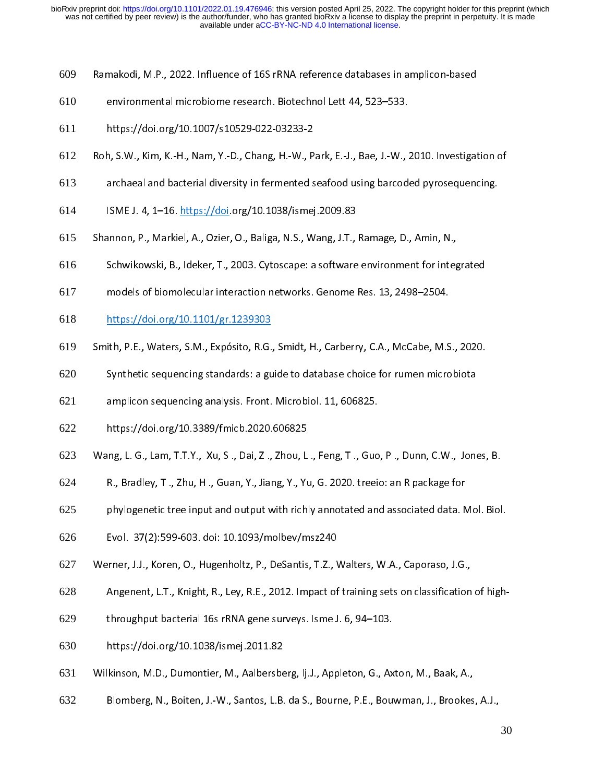- 609 Ramakodi, M.P., 2022. Influence of 16S rRNA reference databases in amplicon-based<br>environmental microbiome research. Biotechnol Lett 44, 523–533.<br>https://doi.org/10.1007/s10529-022-03233-2
- 610
- 611
- environmental microbiome research. Biotechnol Lett.<br>https://doi.org/10.1007/s10529-022-03233-2<br>n, S.W., Kim, K.-H., Nam, Y.-D., Chang, H.-W., Park, E.-J., Bae, J.-W., : https://doi.org/2012-07/2002-022-022-022-0<br>h, S.W., Kim, K.-H., Nam, Y.-D., Chang, H.-W., P<br>archaeal and bacterial diversity in fermented s 612
- archaeal and bacterial diversity in fermented seafood using barcoded pyrosequencing.<br>ISME J. 4, 1–16. https://doi.org/10.1038/ismej.2009.83 613
- 614
- Shannon, P., Markiel, A., Ozier, O., Baliga, N.S., Wang, J.T., Ramage, D., Amin, N., ISME J. 1989. ISME J. 1989.<br>Innon, P., Markiel, A., Ozier, O., Baliga, N.S., Wang, J.T.,<br>Schwikowski, B., Ideker, T., 2003. Cytoscape: a software 615
- Shannon, P., Markiel, A., S., Markiel, A., S., A., S., A., S., A., S., A., S., A., S., A., S., Schwikowski, B., Ideker, T., 2003. Cytoscape: a software environment for integrandels of biomolecular interaction networks. Gen 616
- models of biomolecular interaction networks. Genome Res. 13, 2498–2504.<br>https://doi.org/10.1101/gr.1239303 617
- 618
- models of biomolecular interaction networks. Exploraction networks. The Res. 13, 2498–2614.<br>https://doi.org/10.1101/gr.1239303<br>ith, P.E., Waters, S.M., Expósito, R.G., Smidt, H., Carberry, C.A., McCabe, M.S https://doi.org/10.1101/in.<br>ith, P.E., Waters, S.M., Expósito, R.G.<br>Synthetic sequencing standards: a gu 619
- Synthetic sequencing standards: a guide to database choice for rumen microbiota<br>amplicon sequencing analysis. Front. Microbiol. 11, 606825.<br>https://doi.org/10.3389/fmicb.2020.606825 620
- Synthetic sequencing analysis. Front. Microbiol. 11, 606825.<br>https://doi.org/10.3389/fmicb.2020.606825 621
- 622
- amplican sequencing analysis. From the second 27 second<br>https://doi.org/10.3389/fmicb.2020.606825<br>ing, L. G., Lam, T.T.Y., Xu, S ., Dai, Z ., Zhou, L ., Feng, T ., Guo https://www.g/200227/https://www.202002020<br>ing, L. G., Lam, T.T.Y., Yu, S ., Dai, Z ., Zhou, L<br>R., Bradley, T ., Zhu, H ., Guan, Y., Jiang, Y., Yu 623
- 624
- R., Bradley, T., Zhu, H., Guan, Y., Jiang, Y., Yu, G. 2020. treeio: an R package for<br>phylogenetic tree input and output with richly annotated and associated data. Mol. Biol R., Bradley, T., 2009, M., J. Bradl, H, J. Bradley, H., T., P. 2020. I. 2020. I. P. P. P. 2008, 2009.<br>Phylogenetic tree input and output with richly annotated and associated data. N<br>Evol. 37(2):599-603. doi: 10.1093/molbev 625
- 626
- phylogenetic tree input and output and output and output and output and and and as<br>Evol. 37(2):599-603. doi: 10.1093/molbev/msz240<br>Inter, J.J., Koren, O., Hugenholtz, P., DeSantis, T.Z., Walters, W.A., Caporaso, J.G., Evol. 37(2):399-599-603. 2021-2-2, MDRL2, MERL2, MI<br>Irner, J.J., Koren, O., Hugenholtz, P., DeSantis, T.Z., V.<br>Angenent, L.T., Knight, R., Ley, R.E., 2012. Impact of 627
- Angenent, L.T., Knight, R., Ley, R.E., 2012. Impact of training sets on classification of high-<br>throughput bacterial 16s rRNA gene surveys. Isme J. 6, 94–103.<br>https://doi.org/10.1038/ismej.2011.82 628
- 629
- 630
- Wilkinson, M.D., Dumontier, M., Aalbersberg, Ij.J., Appleton, G., Axton, M., Baak, A., 631
- kinson, M.D., Dumontier, M., Aalbersbe<br>Blomberg, N., Boiten, J.-W., Santos, L.B. Blomberg, N., Boiten, J.-W., Santos, L.B. da S., Bourne, P.E., Bouwman, J., Brookes 632 Blomberg, N., Boiten, J.-W., Santos, L.B. da S., Bourne, P.E., Bouwman, J., Brookes, A.J.,